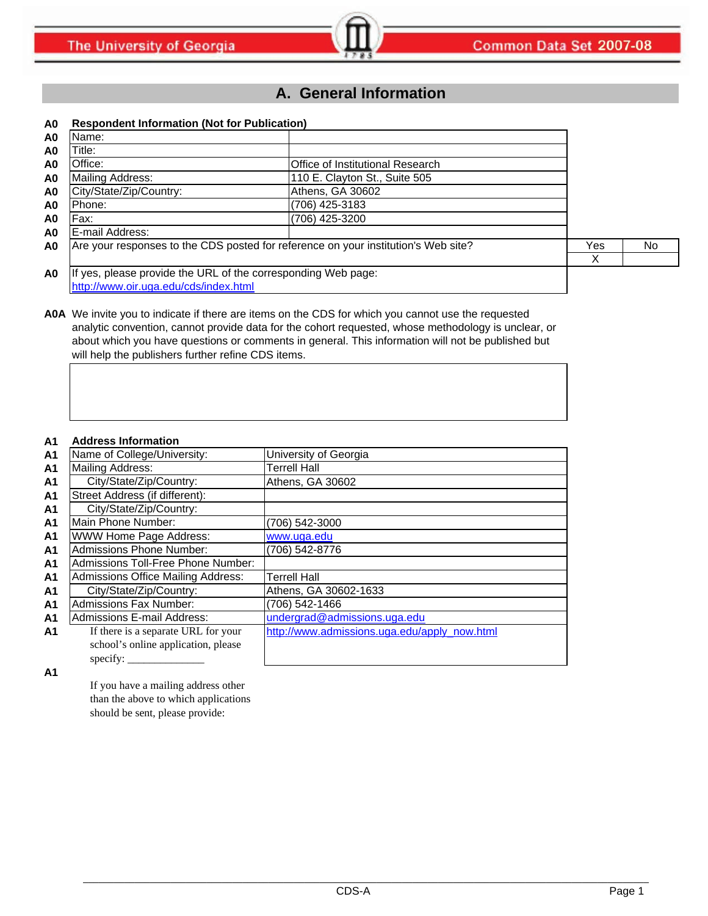# **A. General Information**

### **A0 Respondent Information (Not for Publication)**

| A0 | Name:                                                                              |                                  |        |                |
|----|------------------------------------------------------------------------------------|----------------------------------|--------|----------------|
| A0 | Title:                                                                             |                                  |        |                |
| A0 | Office:                                                                            | Office of Institutional Research |        |                |
| A0 | Mailing Address:                                                                   | 110 E. Clayton St., Suite 505    |        |                |
| A0 | City/State/Zip/Country:                                                            | Athens, GA 30602                 |        |                |
| A0 | Phone:                                                                             | (706) 425-3183                   |        |                |
| A0 | Fax:                                                                               | (706) 425-3200                   |        |                |
| A0 | E-mail Address:                                                                    |                                  |        |                |
| A0 | Are your responses to the CDS posted for reference on your institution's Web site? |                                  | Yes    | N <sub>o</sub> |
|    |                                                                                    |                                  | v<br>∧ |                |
| A0 | If yes, please provide the URL of the corresponding Web page:                      |                                  |        |                |
|    | http://www.oir.uga.edu/cds/index.html                                              |                                  |        |                |

### **A0A** We invite you to indicate if there are items on the CDS for which you cannot use the requested analytic convention, cannot provide data for the cohort requested, whose methodology is unclear, or about which you have questions or comments in general. This information will not be published but will help the publishers further refine CDS items.

### **A1 Address Information**

| A <sub>1</sub> | Name of College/University:               | University of Georgia                        |
|----------------|-------------------------------------------|----------------------------------------------|
| A <sub>1</sub> | Mailing Address:                          | <b>Terrell Hall</b>                          |
| A <sub>1</sub> | City/State/Zip/Country:                   | Athens, GA 30602                             |
| A <sub>1</sub> | Street Address (if different):            |                                              |
| A <sub>1</sub> | City/State/Zip/Country:                   |                                              |
| A <sub>1</sub> | Main Phone Number:                        | (706) 542-3000                               |
| A <sub>1</sub> | WWW Home Page Address:                    | www.uga.edu                                  |
| A <sub>1</sub> | <b>Admissions Phone Number:</b>           | (706) 542-8776                               |
| A <sub>1</sub> | Admissions Toll-Free Phone Number:        |                                              |
| A <sub>1</sub> | <b>Admissions Office Mailing Address:</b> | <b>Terrell Hall</b>                          |
| A <sub>1</sub> | City/State/Zip/Country:                   | Athens, GA 30602-1633                        |
| A <sub>1</sub> | <b>Admissions Fax Number:</b>             | (706) 542-1466                               |
| A <sub>1</sub> | Admissions E-mail Address:                | undergrad@admissions.uga.edu                 |
| A1             | If there is a separate URL for your       | http://www.admissions.uga.edu/apply_now.html |
|                | school's online application, please       |                                              |
|                | specify:                                  |                                              |

**A1**

If you have a mailing address other than the above to which applications should be sent, please provide: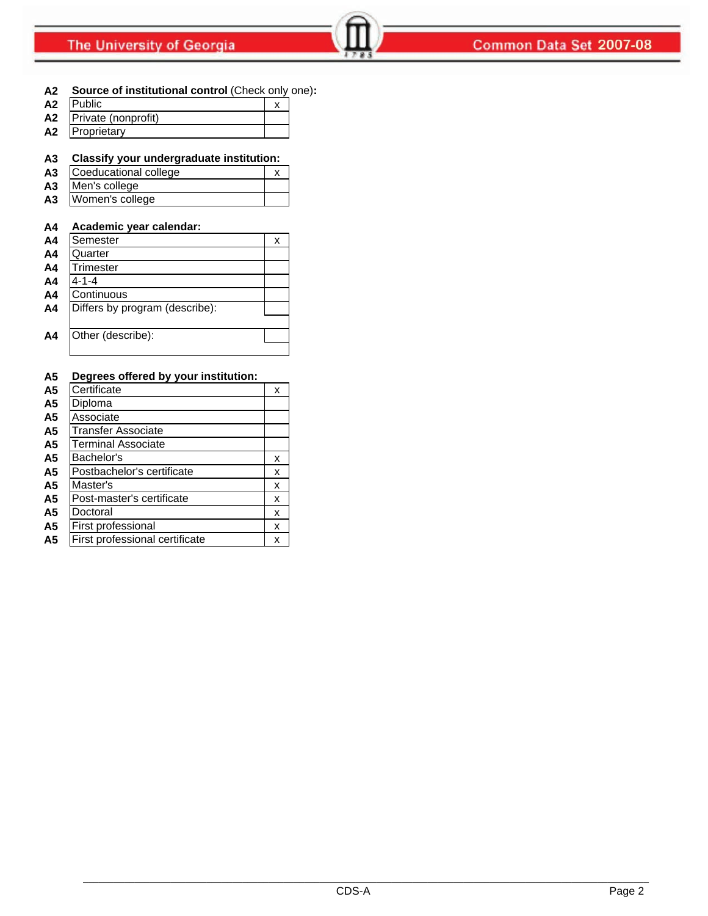### **A2 Source of institutional control** (Check only one)**:**

| A <sub>2</sub> | <b>IPublic</b>      |  |
|----------------|---------------------|--|
| A <sub>2</sub> | Private (nonprofit) |  |
| A <sub>2</sub> | Proprietary         |  |

### **A3 Classify your undergraduate institution:**

| A <sub>3</sub> | Coeducational college |  |
|----------------|-----------------------|--|
| A3             | Men's college         |  |
| A3             | Women's college       |  |

### **A4 Academic year calendar:**

| A <sub>4</sub> | Semester                       | х |
|----------------|--------------------------------|---|
| A <sub>4</sub> | Quarter                        |   |
| A <sub>4</sub> | Trimester                      |   |
| A <sub>4</sub> | 4-1-4                          |   |
| A <sub>4</sub> | Continuous                     |   |
| A <sub>4</sub> | Differs by program (describe): |   |
|                |                                |   |
| A <sub>4</sub> | Other (describe):              |   |
|                |                                |   |

### **A5 Degrees offered by your institution:**

| A <sub>5</sub> | Certificate                    | х |
|----------------|--------------------------------|---|
| A <sub>5</sub> | Diploma                        |   |
| A5             | Associate                      |   |
| A5             | Transfer Associate             |   |
| A <sub>5</sub> | <b>Terminal Associate</b>      |   |
| A <sub>5</sub> | Bachelor's                     | x |
| A <sub>5</sub> | Postbachelor's certificate     | x |
| A <sub>5</sub> | Master's                       | x |
| A5             | Post-master's certificate      | x |
| A <sub>5</sub> | Doctoral                       | x |
| A5             | First professional             | x |
| A <sub>5</sub> | First professional certificate | x |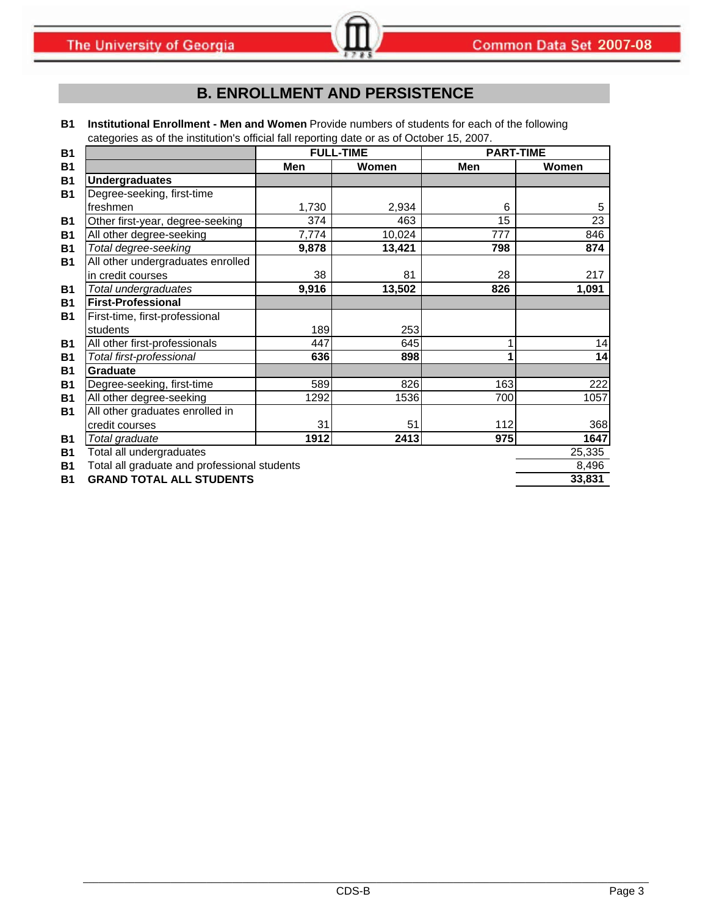# **B. ENROLLMENT AND PERSISTENCE**

**B1 Institutional Enrollment - Men and Women** Provide numbers of students for each of the following categories as of the institution's official fall reporting date or as of October 15, 2007.

| <b>B1</b> |                                              |       | <b>FULL-TIME</b> | <b>PART-TIME</b> |        |
|-----------|----------------------------------------------|-------|------------------|------------------|--------|
| <b>B1</b> |                                              | Men   | Women            | Men              | Women  |
| <b>B1</b> | <b>Undergraduates</b>                        |       |                  |                  |        |
| <b>B1</b> | Degree-seeking, first-time                   |       |                  |                  |        |
|           | freshmen                                     | 1,730 | 2,934            | 6                | 5      |
| <b>B1</b> | Other first-year, degree-seeking             | 374   | 463              | 15               | 23     |
| <b>B1</b> | All other degree-seeking                     | 7,774 | 10,024           | 777              | 846    |
| <b>B1</b> | Total degree-seeking                         | 9,878 | 13,421           | 798              | 874    |
| <b>B1</b> | All other undergraduates enrolled            |       |                  |                  |        |
|           | in credit courses                            | 38    | 81               | 28               | 217    |
| <b>B1</b> | Total undergraduates                         | 9,916 | 13,502           | 826              | 1,091  |
| <b>B1</b> | <b>First-Professional</b>                    |       |                  |                  |        |
| <b>B1</b> | First-time, first-professional               |       |                  |                  |        |
|           | students                                     | 189   | 253              |                  |        |
| <b>B1</b> | All other first-professionals                | 447   | 645              |                  | 14     |
| <b>B1</b> | Total first-professional                     | 636   | 898              |                  | 14     |
| <b>B1</b> | Graduate                                     |       |                  |                  |        |
| <b>B1</b> | Degree-seeking, first-time                   | 589   | 826              | 163              | 222    |
| <b>B1</b> | All other degree-seeking                     | 1292  | 1536             | 700              | 1057   |
| <b>B1</b> | All other graduates enrolled in              |       |                  |                  |        |
|           | credit courses                               | 31    | 51               | 112              | 368    |
| <b>B1</b> | Total graduate                               | 1912  | 2413             | 975              | 1647   |
| <b>B1</b> | Total all undergraduates                     |       |                  |                  | 25,335 |
| <b>B1</b> | Total all graduate and professional students |       |                  |                  | 8,496  |
| <b>B1</b> | <b>GRAND TOTAL ALL STUDENTS</b>              |       |                  |                  | 33,831 |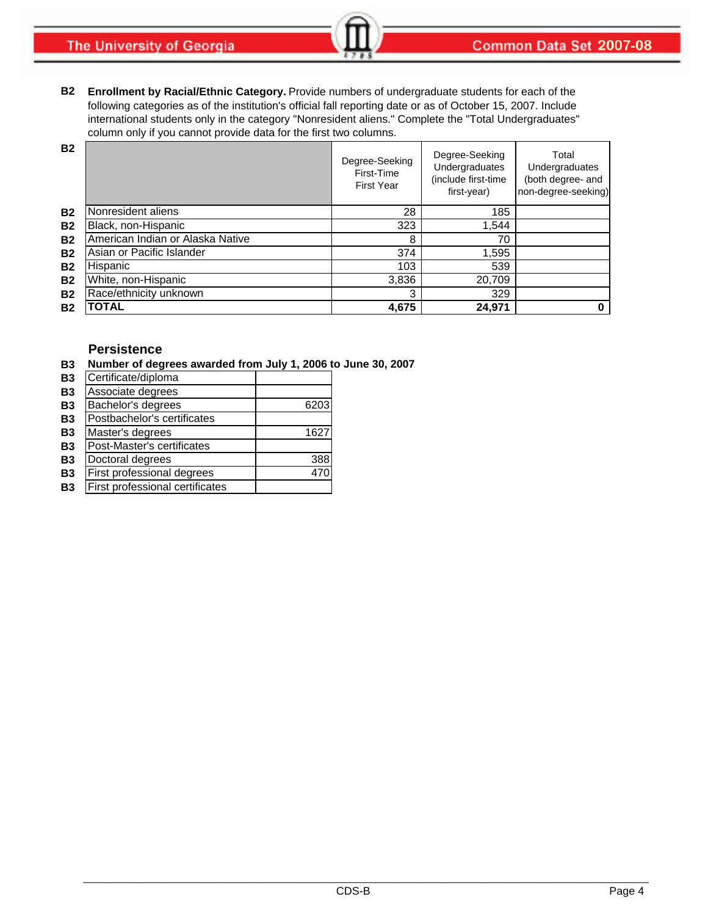**The University of Georgia** 

**B2 Enrollment by Racial/Ethnic Category.** Provide numbers of undergraduate students for each of the following categories as of the institution's official fall reporting date or as of October 15, 2007. Include international students only in the category "Nonresident aliens." Complete the "Total Undergraduates" column only if you cannot provide data for the first two columns.

| <b>B2</b> |                                  | Degree-Seeking<br>First-Time<br><b>First Year</b> | Degree-Seeking<br>Undergraduates<br>(include first-time<br>first-year) | Total<br>Undergraduates<br>(both degree- and<br>non-degree-seeking) |
|-----------|----------------------------------|---------------------------------------------------|------------------------------------------------------------------------|---------------------------------------------------------------------|
| <b>B2</b> | Nonresident aliens               | 28                                                | 185                                                                    |                                                                     |
| <b>B2</b> | Black, non-Hispanic              | 323                                               | 1,544                                                                  |                                                                     |
| <b>B2</b> | American Indian or Alaska Native | 8                                                 | 70                                                                     |                                                                     |
| <b>B2</b> | Asian or Pacific Islander        | 374                                               | 1,595                                                                  |                                                                     |
| <b>B2</b> | Hispanic                         | 103                                               | 539                                                                    |                                                                     |
| <b>B2</b> | White, non-Hispanic              | 3,836                                             | 20,709                                                                 |                                                                     |
| <b>B2</b> | Race/ethnicity unknown           | 3                                                 | 329                                                                    |                                                                     |
| <b>B2</b> | <b>TOTAL</b>                     | 4,675                                             | 24,971                                                                 |                                                                     |

### **Persistence**

**B3 Number of degrees awarded from July 1, 2006 to June 30, 2007**

| <b>B3</b> | Certificate/diploma             |      |
|-----------|---------------------------------|------|
| <b>B3</b> | Associate degrees               |      |
| <b>B3</b> | Bachelor's degrees              | 6203 |
| <b>B3</b> | Postbachelor's certificates     |      |
| <b>B3</b> | Master's degrees                | 1627 |
| <b>B3</b> | Post-Master's certificates      |      |
| <b>B3</b> | Doctoral degrees                | 388  |
| <b>B3</b> | First professional degrees      | 470  |
| <b>B3</b> | First professional certificates |      |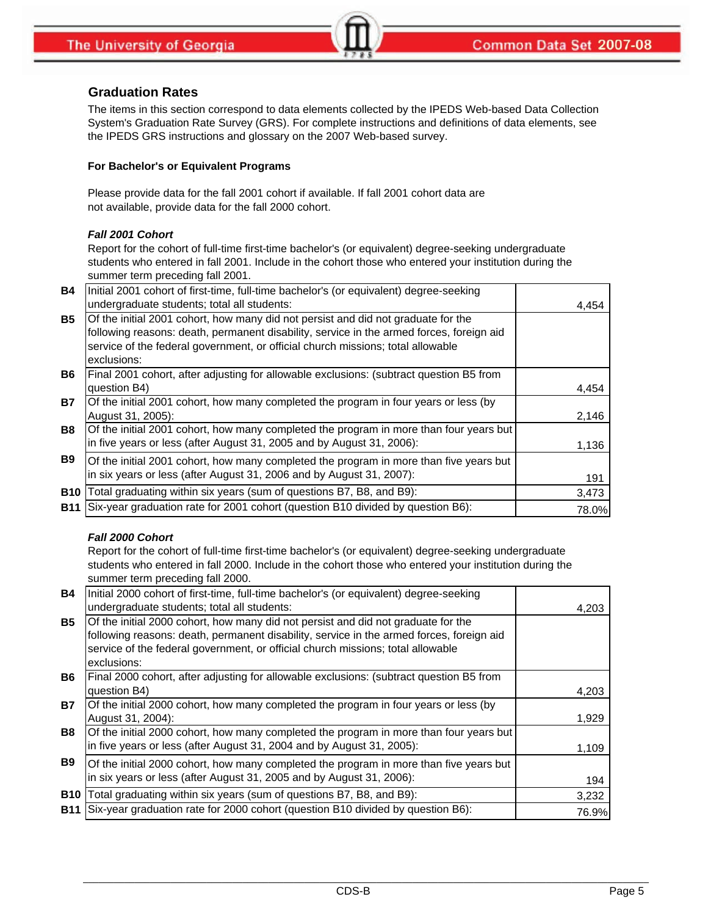## **Graduation Rates**

The items in this section correspond to data elements collected by the IPEDS Web-based Data Collection System's Graduation Rate Survey (GRS). For complete instructions and definitions of data elements, see the IPEDS GRS instructions and glossary on the 2007 Web-based survey.

### **For Bachelor's or Equivalent Programs**

Please provide data for the fall 2001 cohort if available. If fall 2001 cohort data are not available, provide data for the fall 2000 cohort.

### *Fall 2001 Cohort*

Report for the cohort of full-time first-time bachelor's (or equivalent) degree-seeking undergraduate students who entered in fall 2001. Include in the cohort those who entered your institution during the summer term preceding fall 2001.

| <b>B4</b>  | Initial 2001 cohort of first-time, full-time bachelor's (or equivalent) degree-seeking   |       |
|------------|------------------------------------------------------------------------------------------|-------|
|            | undergraduate students; total all students:                                              | 4,454 |
| <b>B5</b>  | Of the initial 2001 cohort, how many did not persist and did not graduate for the        |       |
|            | following reasons: death, permanent disability, service in the armed forces, foreign aid |       |
|            | service of the federal government, or official church missions; total allowable          |       |
|            | exclusions:                                                                              |       |
| <b>B6</b>  | Final 2001 cohort, after adjusting for allowable exclusions: (subtract question B5 from  |       |
|            | question B4)                                                                             | 4,454 |
| <b>B7</b>  | Of the initial 2001 cohort, how many completed the program in four years or less (by     |       |
|            | August 31, 2005):                                                                        | 2,146 |
| <b>B8</b>  | Of the initial 2001 cohort, how many completed the program in more than four years but   |       |
|            | in five years or less (after August 31, 2005 and by August 31, 2006):                    | 1,136 |
| <b>B9</b>  | Of the initial 2001 cohort, how many completed the program in more than five years but   |       |
|            | in six years or less (after August 31, 2006 and by August 31, 2007):                     | 191   |
| <b>B10</b> | Total graduating within six years (sum of questions B7, B8, and B9):                     | 3,473 |
| <b>B11</b> | Six-year graduation rate for 2001 cohort (question B10 divided by question B6):          | 78.0% |

### *Fall 2000 Cohort*

Report for the cohort of full-time first-time bachelor's (or equivalent) degree-seeking undergraduate students who entered in fall 2000. Include in the cohort those who entered your institution during the summer term preceding fall 2000.

| <b>B4</b>  | Initial 2000 cohort of first-time, full-time bachelor's (or equivalent) degree-seeking   |       |
|------------|------------------------------------------------------------------------------------------|-------|
|            | undergraduate students; total all students:                                              | 4,203 |
| <b>B5</b>  | Of the initial 2000 cohort, how many did not persist and did not graduate for the        |       |
|            | following reasons: death, permanent disability, service in the armed forces, foreign aid |       |
|            | service of the federal government, or official church missions; total allowable          |       |
|            | exclusions:                                                                              |       |
| <b>B6</b>  | Final 2000 cohort, after adjusting for allowable exclusions: (subtract question B5 from  |       |
|            | question B4)                                                                             | 4,203 |
| <b>B7</b>  | Of the initial 2000 cohort, how many completed the program in four years or less (by     |       |
|            | August 31, 2004):                                                                        | 1,929 |
| <b>B8</b>  | Of the initial 2000 cohort, how many completed the program in more than four years but   |       |
|            | in five years or less (after August 31, 2004 and by August 31, 2005):                    | 1,109 |
| <b>B9</b>  | Of the initial 2000 cohort, how many completed the program in more than five years but   |       |
|            | in six years or less (after August 31, 2005 and by August 31, 2006):                     | 194   |
| <b>B10</b> | Total graduating within six years (sum of questions B7, B8, and B9):                     | 3,232 |
| <b>B11</b> | Six-year graduation rate for 2000 cohort (question B10 divided by question B6):          | 76.9% |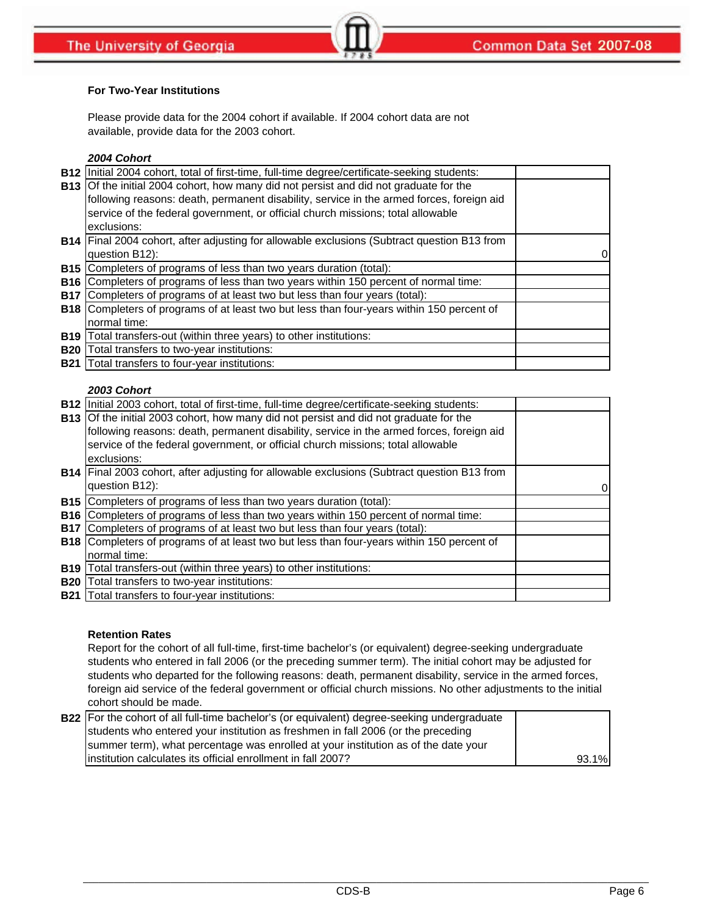### **For Two-Year Institutions**

Please provide data for the 2004 cohort if available. If 2004 cohort data are not available, provide data for the 2003 cohort.

### *2004 Cohort*

|            | B12 Initial 2004 cohort, total of first-time, full-time degree/certificate-seeking students:       |  |
|------------|----------------------------------------------------------------------------------------------------|--|
|            | <b>B13</b> Of the initial 2004 cohort, how many did not persist and did not graduate for the       |  |
|            | following reasons: death, permanent disability, service in the armed forces, foreign aid           |  |
|            | service of the federal government, or official church missions; total allowable                    |  |
|            | exclusions:                                                                                        |  |
|            | <b>B14</b> Final 2004 cohort, after adjusting for allowable exclusions (Subtract question B13 from |  |
|            | question B12):                                                                                     |  |
|            | B15 Completers of programs of less than two years duration (total):                                |  |
|            | <b>B16</b> Completers of programs of less than two years within 150 percent of normal time:        |  |
|            | B17 Completers of programs of at least two but less than four years (total):                       |  |
|            | <b>B18</b> Completers of programs of at least two but less than four-years within 150 percent of   |  |
|            | normal time:                                                                                       |  |
| <b>B19</b> | Total transfers-out (within three years) to other institutions:                                    |  |
| <b>B20</b> | Total transfers to two-year institutions:                                                          |  |
|            | <b>B21</b> Total transfers to four-year institutions:                                              |  |

### *2003 Cohort*

|            | B12 Initial 2003 cohort, total of first-time, full-time degree/certificate-seeking students: |  |
|------------|----------------------------------------------------------------------------------------------|--|
|            | <b>B13</b> Of the initial 2003 cohort, how many did not persist and did not graduate for the |  |
|            | following reasons: death, permanent disability, service in the armed forces, foreign aid     |  |
|            | service of the federal government, or official church missions; total allowable              |  |
|            | exclusions:                                                                                  |  |
|            | B14 Final 2003 cohort, after adjusting for allowable exclusions (Subtract question B13 from  |  |
|            | question B12):                                                                               |  |
|            | B15 Completers of programs of less than two years duration (total):                          |  |
|            | <b>B16</b> Completers of programs of less than two years within 150 percent of normal time:  |  |
|            | <b>B17</b> Completers of programs of at least two but less than four years (total):          |  |
|            | B18 Completers of programs of at least two but less than four-years within 150 percent of    |  |
|            | normal time:                                                                                 |  |
| <b>B19</b> | Total transfers-out (within three years) to other institutions:                              |  |
| <b>B20</b> | Total transfers to two-year institutions:                                                    |  |
|            | <b>B21</b> Total transfers to four-year institutions:                                        |  |

#### **Retention Rates**

Report for the cohort of all full-time, first-time bachelor's (or equivalent) degree-seeking undergraduate students who entered in fall 2006 (or the preceding summer term). The initial cohort may be adjusted for students who departed for the following reasons: death, permanent disability, service in the armed forces, foreign aid service of the federal government or official church missions. No other adjustments to the initial cohort should be made.

| B22  For the cohort of all full-time bachelor's (or equivalent) degree-seeking undergraduate |       |
|----------------------------------------------------------------------------------------------|-------|
| students who entered your institution as freshmen in fall 2006 (or the preceding             |       |
| summer term), what percentage was enrolled at your institution as of the date your           |       |
| linstitution calculates its official enrollment in fall 2007?                                | 93.1% |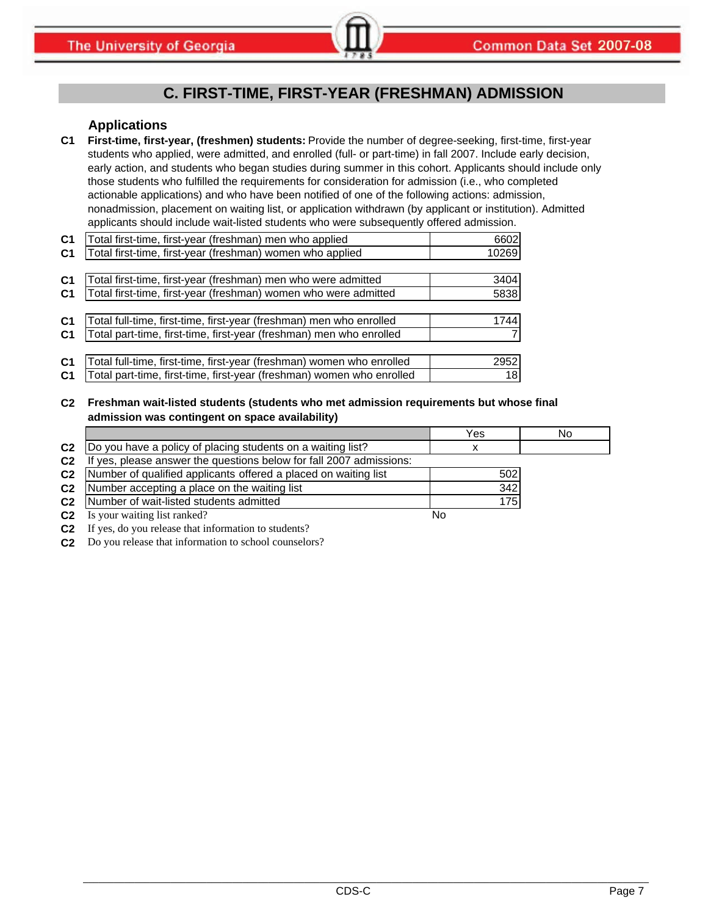# **C. FIRST-TIME, FIRST-YEAR (FRESHMAN) ADMISSION**

### **Applications**

**C1 First-time, first-year, (freshmen) students:** Provide the number of degree-seeking, first-time, first-year students who applied, were admitted, and enrolled (full- or part-time) in fall 2007. Include early decision, early action, and students who began studies during summer in this cohort. Applicants should include only those students who fulfilled the requirements for consideration for admission (i.e., who completed actionable applications) and who have been notified of one of the following actions: admission, nonadmission, placement on waiting list, or application withdrawn (by applicant or institution). Admitted applicants should include wait-listed students who were subsequently offered admission.

| C <sub>1</sub> | Total first-time, first-year (freshman) men who applied               | 6602  |
|----------------|-----------------------------------------------------------------------|-------|
| C <sub>1</sub> | Total first-time, first-year (freshman) women who applied             | 10269 |
|                |                                                                       |       |
| C <sub>1</sub> | Total first-time, first-year (freshman) men who were admitted         | 3404  |
| C <sub>1</sub> | Total first-time, first-year (freshman) women who were admitted       | 5838  |
|                |                                                                       |       |
| C <sub>1</sub> | Total full-time, first-time, first-year (freshman) men who enrolled   | 1744  |
| C <sub>1</sub> | Total part-time, first-time, first-year (freshman) men who enrolled   |       |
|                |                                                                       |       |
| C <sub>1</sub> | Total full-time, first-time, first-year (freshman) women who enrolled | 2952  |
| C <sub>1</sub> | Total part-time, first-time, first-year (freshman) women who enrolled | 18    |

### **C2 Freshman wait-listed students (students who met admission requirements but whose final admission was contingent on space availability)**

|                |                                                                  | Yes  | No |
|----------------|------------------------------------------------------------------|------|----|
| C <sub>2</sub> | Do you have a policy of placing students on a waiting list?      |      |    |
| C <sub>2</sub> | yes, please answer the questions below for fall 2007 admissions: |      |    |
| C <sub>2</sub> | Number of qualified applicants offered a placed on waiting list  | 502  |    |
| C <sub>2</sub> | Number accepting a place on the waiting list                     | 342  |    |
| C <sub>2</sub> | Number of wait-listed students admitted                          | 175I |    |
| C <sub>2</sub> | Is your waiting list ranked?                                     | No   |    |

**C2** If yes, do you release that information to students?

**C2** Do you release that information to school counselors?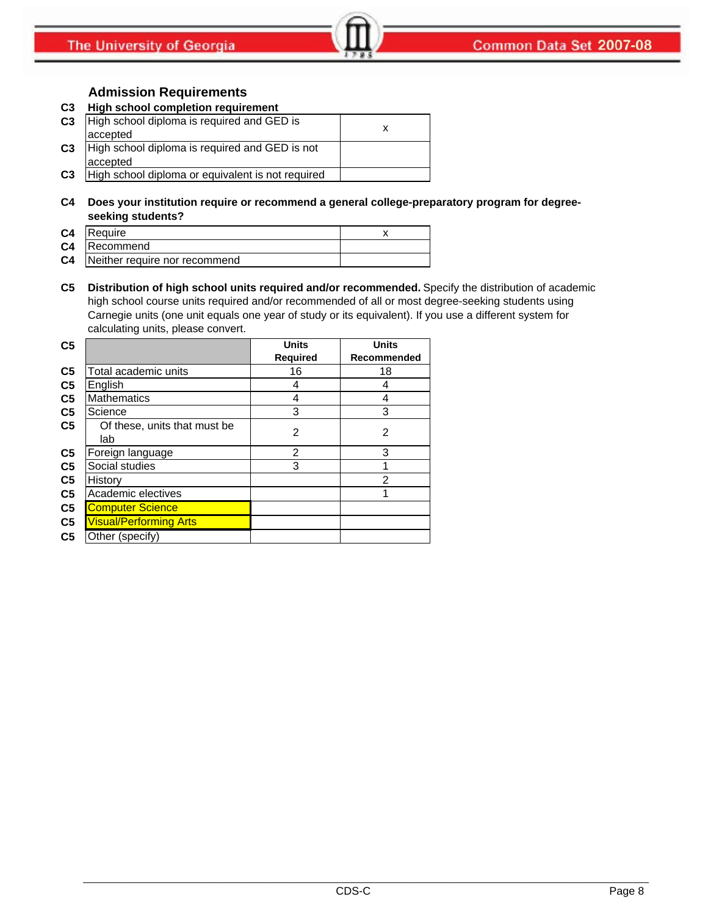# **Admission Requirements**

### **C3 High school completion requirement**

| C <sub>3</sub> | High school diploma is required and GED is<br>accepted     |  |
|----------------|------------------------------------------------------------|--|
| C <sub>3</sub> | High school diploma is required and GED is not<br>accepted |  |
| C <sub>3</sub> | High school diploma or equivalent is not required          |  |

**C4 Does your institution require or recommend a general college-preparatory program for degreeseeking students?**

| C4 Require                              |  |
|-----------------------------------------|--|
| C4 Recommend                            |  |
| <b>C4</b> Neither require nor recommend |  |

**C5 Distribution of high school units required and/or recommended.** Specify the distribution of academic high school course units required and/or recommended of all or most degree-seeking students using Carnegie units (one unit equals one year of study or its equivalent). If you use a different system for calculating units, please convert.

| C <sub>5</sub> |                                     | <b>Units</b>    | <b>Units</b> |
|----------------|-------------------------------------|-----------------|--------------|
|                |                                     | <b>Required</b> | Recommended  |
| C <sub>5</sub> | Total academic units                | 16              | 18           |
| C <sub>5</sub> | English                             | 4               | 4            |
| C <sub>5</sub> | <b>Mathematics</b>                  | 4               | 4            |
| C <sub>5</sub> | Science                             | 3               | 3            |
| C <sub>5</sub> | Of these, units that must be<br>lab | $\overline{2}$  | 2            |
| C <sub>5</sub> | Foreign language                    | 2               | 3            |
| C <sub>5</sub> | Social studies                      | 3               |              |
| C <sub>5</sub> | History                             |                 | 2            |
| C <sub>5</sub> | Academic electives                  |                 | 1            |
| C <sub>5</sub> | <b>Computer Science</b>             |                 |              |
| C <sub>5</sub> | <b>Visual/Performing Arts</b>       |                 |              |
| C <sub>5</sub> | Other (specify)                     |                 |              |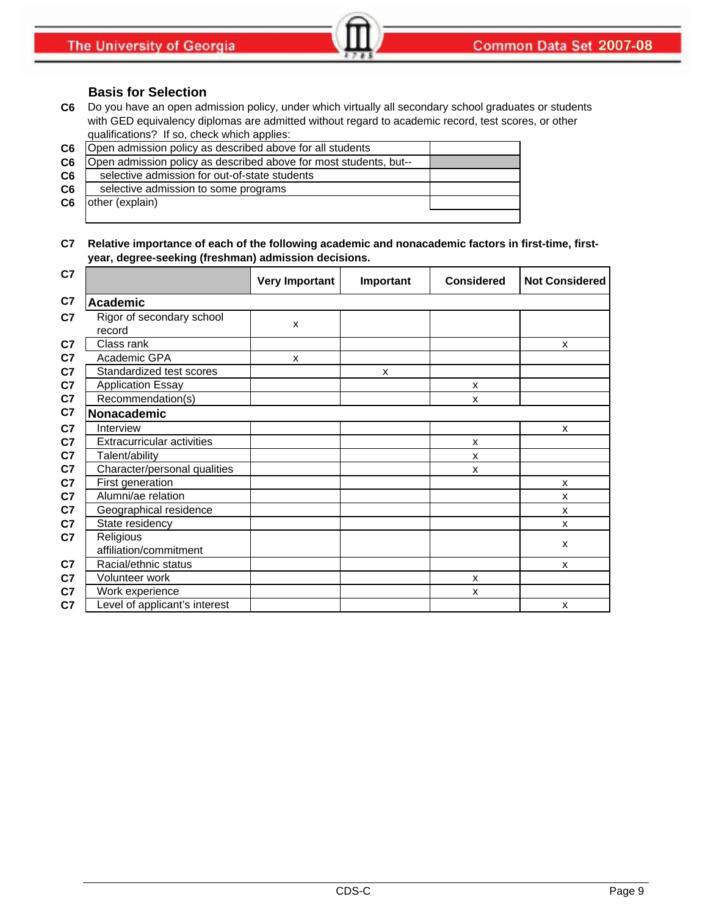## **Basis for Selection**

**C6** Do you have an open admission policy, under which virtually all secondary school graduates or students with GED equivalency diplomas are admitted without regard to academic record, test scores, or other qualifications? If so, check which applies:

| C6 | Open admission policy as described above for all students         |  |
|----|-------------------------------------------------------------------|--|
| C6 | Open admission policy as described above for most students, but-- |  |
| C6 | selective admission for out-of-state students                     |  |
| C6 | selective admission to some programs                              |  |
| C6 | other (explain)                                                   |  |
|    |                                                                   |  |

### **C7 Relative importance of each of the following academic and nonacademic factors in first-time, firstyear, degree-seeking (freshman) admission decisions.**

| C7             |                                     | <b>Very Important</b> | Important | <b>Considered</b>         | <b>Not Considered</b> |
|----------------|-------------------------------------|-----------------------|-----------|---------------------------|-----------------------|
| C7             | <b>Academic</b>                     |                       |           |                           |                       |
| C7             | Rigor of secondary school<br>record | X                     |           |                           |                       |
| C7             | Class rank                          |                       |           |                           | X                     |
| C7             | Academic GPA                        | X                     |           |                           |                       |
| C7             | Standardized test scores            |                       | X         |                           |                       |
| C7             | <b>Application Essay</b>            |                       |           | X                         |                       |
| C7             | Recommendation(s)                   |                       |           | X                         |                       |
| C7             | Nonacademic                         |                       |           |                           |                       |
| C <sub>7</sub> | Interview                           |                       |           |                           | X                     |
| C7             | <b>Extracurricular activities</b>   |                       |           | X                         |                       |
| C7             | Talent/ability                      |                       |           | $\boldsymbol{\mathsf{x}}$ |                       |
| C <sub>7</sub> | Character/personal qualities        |                       |           | X                         |                       |
| C <sub>7</sub> | First generation                    |                       |           |                           | X                     |
| C <sub>7</sub> | Alumni/ae relation                  |                       |           |                           | X                     |
| C <sub>7</sub> | Geographical residence              |                       |           |                           | X                     |
| C7             | State residency                     |                       |           |                           | X                     |
| C7             | Religious<br>affiliation/commitment |                       |           |                           | X                     |
| C <sub>7</sub> | Racial/ethnic status                |                       |           |                           | X                     |
| C <sub>7</sub> | Volunteer work                      |                       |           | X                         |                       |
| C <sub>7</sub> | Work experience                     |                       |           | X                         |                       |
| C7             | Level of applicant's interest       |                       |           |                           | X                     |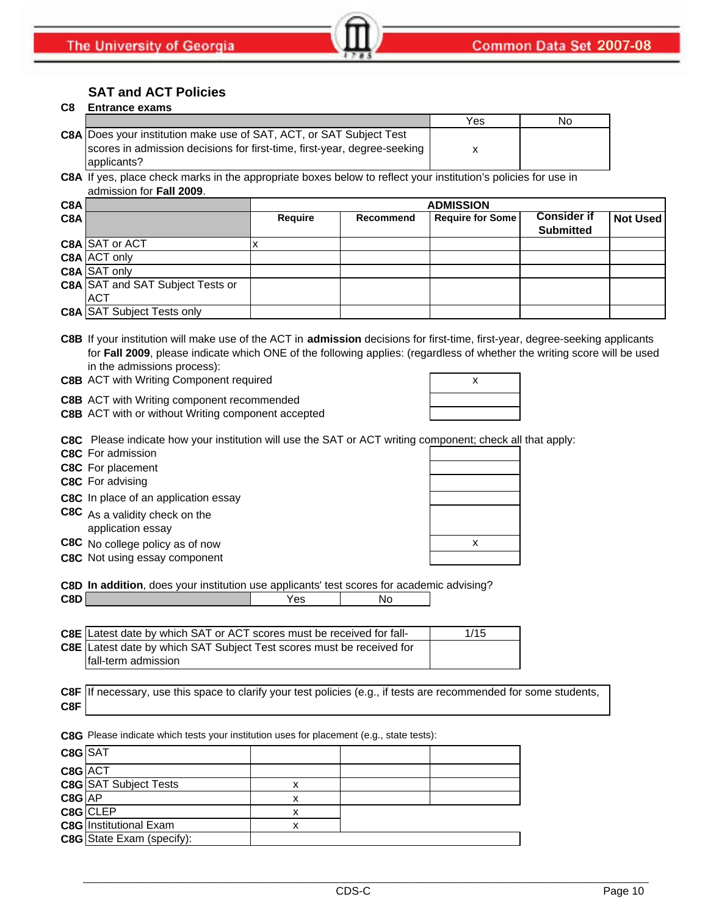# **SAT and ACT Policies**

## **C8 Entrance exams**

|                                                                            | Yes | Νo |
|----------------------------------------------------------------------------|-----|----|
| <b>C8A</b> Does your institution make use of SAT, ACT, or SAT Subject Test |     |    |
| scores in admission decisions for first-time, first-year, degree-seeking   |     |    |
| applicants?                                                                |     |    |

**C8A** If yes, place check marks in the appropriate boxes below to reflect your institution's policies for use in admission for **Fall 2009**.

| C8A |                                         | <b>ADMISSION</b> |                  |                         |                    |                 |
|-----|-----------------------------------------|------------------|------------------|-------------------------|--------------------|-----------------|
| C8A |                                         | Require          | <b>Recommend</b> | <b>Require for Some</b> | <b>Consider if</b> | <b>Not Used</b> |
|     |                                         |                  |                  |                         | <b>Submitted</b>   |                 |
|     | C8A SAT or ACT                          |                  |                  |                         |                    |                 |
|     | C8A ACT only                            |                  |                  |                         |                    |                 |
|     | <b>C8A</b> SAT only                     |                  |                  |                         |                    |                 |
|     | <b>C8A SAT and SAT Subject Tests or</b> |                  |                  |                         |                    |                 |
|     | <b>ACT</b>                              |                  |                  |                         |                    |                 |
|     | <b>C8A SAT Subject Tests only</b>       |                  |                  |                         |                    |                 |

**C8B** If your institution will make use of the ACT in **admission** decisions for first-time, first-year, degree-seeking applicants for **Fall 2009**, please indicate which ONE of the following applies: (regardless of whether the writing score will be used in the admissions process):

**C8B** ACT with Writing Component required **ACT 100 AM R** 2

**C8B** ACT with Writing component recommended

**C8B** ACT with or without Writing component accepted

**C8C** Please indicate how your institution will use the SAT or ACT writing component; check all that apply:

**C8C** For admission

**C8C** For placement

**C8C** For advising

**C8C** In place of an application essay

**C8C** As a validity check on the application essay

**C8C** No college policy as of now **x** x

**C8C** Not using essay component

**C8D In addition**, does your institution use applicants' test scores for academic advising?

| C8D | ဗၖ | Nс |
|-----|----|----|
|     |    |    |

| <b>C8E</b> Latest date by which SAT or ACT scores must be received for fall- | 1/15 |
|------------------------------------------------------------------------------|------|
| <b>C8E</b> Latest date by which SAT Subject Test scores must be received for |      |
| fall-term admission                                                          |      |

|     | C8F If necessary, use this space to clarify your test policies (e.g., if tests are recommended for some students, |
|-----|-------------------------------------------------------------------------------------------------------------------|
| C8F |                                                                                                                   |

**C8G** Please indicate which tests your institution uses for placement (e.g., state tests):

| C8G SAT |                               |   |  |
|---------|-------------------------------|---|--|
| C8G ACT |                               |   |  |
|         | <b>C8G</b> SAT Subject Tests  |   |  |
| C8G AP  |                               | x |  |
|         | C8G CLEP                      |   |  |
|         | <b>C8G</b> Institutional Exam |   |  |
|         | C8G State Exam (specify):     |   |  |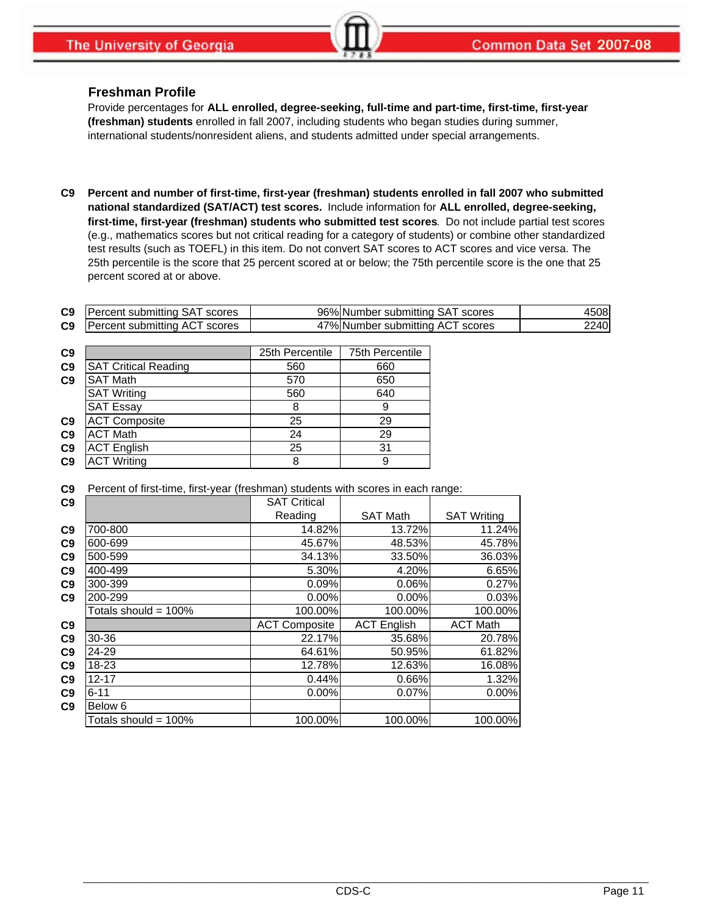### **Freshman Profile**

Provide percentages for **ALL enrolled, degree-seeking, full-time and part-time, first-time, first-year (freshman) students** enrolled in fall 2007, including students who began studies during summer, international students/nonresident aliens, and students admitted under special arrangements.

**C9 Percent and number of first-time, first-year (freshman) students enrolled in fall 2007 who submitted national standardized (SAT/ACT) test scores.** Include information for **ALL enrolled, degree-seeking, first-time, first-year (freshman) students who submitted test scores**. Do not include partial test scores (e.g., mathematics scores but not critical reading for a category of students) or combine other standardized test results (such as TOEFL) in this item. Do not convert SAT scores to ACT scores and vice versa. The 25th percentile is the score that 25 percent scored at or below; the 75th percentile score is the one that 25 percent scored at or above.

| <b>C9</b> Percent submitting SAT scores | 96% Number submitting SAT scores | 4508 |
|-----------------------------------------|----------------------------------|------|
| <b>C9</b> Percent submitting ACT scores | 47% Number submitting ACT scores | 2240 |

| C9             |                             | 25th Percentile | 75th Percentile |
|----------------|-----------------------------|-----------------|-----------------|
| C <sub>9</sub> | <b>SAT Critical Reading</b> | 560             | 660             |
| C9             | <b>SAT Math</b>             | 570             | 650             |
|                | <b>SAT Writing</b>          | 560             | 640             |
|                | <b>SAT Essay</b>            | 8               | 9               |
| C <sub>9</sub> | <b>ACT Composite</b>        | 25              | 29              |
| C <sub>9</sub> | <b>ACT Math</b>             | 24              | 29              |
| C <sub>9</sub> | <b>ACT English</b>          | 25              | 31              |
| C <sub>9</sub> | <b>ACT Writing</b>          | 8               | 9               |

**C9** Percent of first-time, first-year (freshman) students with scores in each range:

| C9             |                         | <b>SAT Critical</b>  |                    |                    |
|----------------|-------------------------|----------------------|--------------------|--------------------|
|                |                         | Reading              | <b>SAT Math</b>    | <b>SAT Writing</b> |
| C <sub>9</sub> | 700-800                 | 14.82%               | 13.72%             | 11.24%             |
| C <sub>9</sub> | 600-699                 | 45.67%               | 48.53%             | 45.78%             |
| C <sub>9</sub> | 500-599                 | 34.13%               | 33.50%             | 36.03%             |
| C <sub>9</sub> | 400-499                 | 5.30%                | 4.20%              | 6.65%              |
| C <sub>9</sub> | 300-399                 | 0.09%                | 0.06%              | 0.27%              |
| C <sub>9</sub> | 200-299                 | $0.00\%$             | $0.00\%$           | 0.03%              |
|                | Totals should = 100%    | 100.00%              | 100.00%            | 100.00%            |
| C9             |                         | <b>ACT Composite</b> | <b>ACT English</b> | <b>ACT Math</b>    |
| C <sub>9</sub> | 30-36                   | 22.17%               | 35.68%             | 20.78%             |
| C <sub>9</sub> | 24-29                   | 64.61%               | 50.95%             | 61.82%             |
| C <sub>9</sub> | $18 - 23$               | 12.78%               | 12.63%             | 16.08%             |
| C9             | $12 - 17$               | 0.44%                | 0.66%              | 1.32%              |
| C <sub>9</sub> | $6 - 11$                | 0.00%                | 0.07%              | 0.00%              |
| C <sub>9</sub> | Below 6                 |                      |                    |                    |
|                | Totals should = $100\%$ | 100.00%              | 100.00%            | 100.00%            |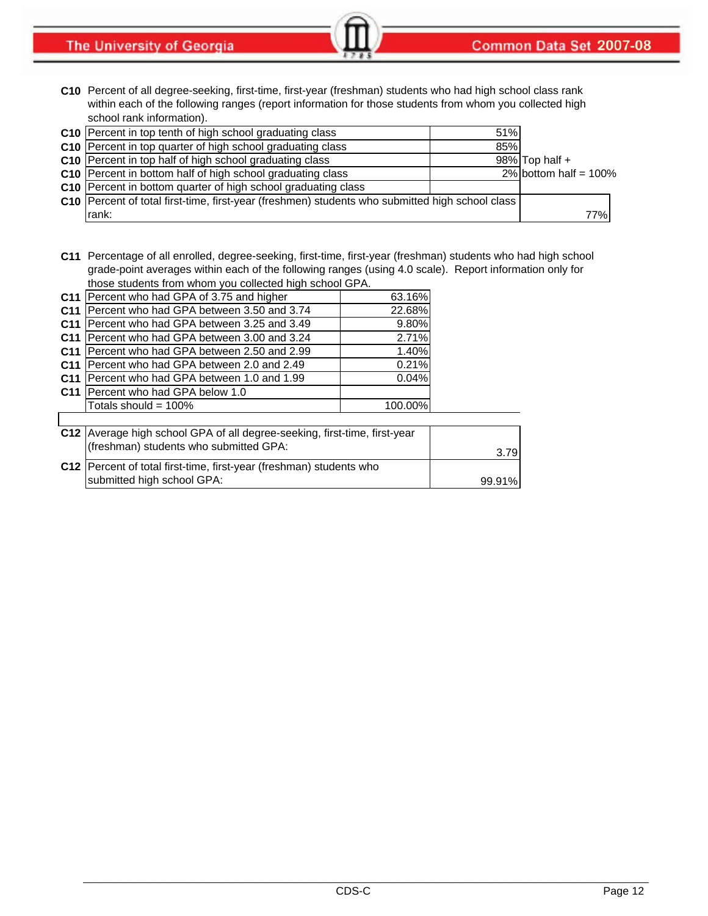The University of Georgia

**C10** Percent of all degree-seeking, first-time, first-year (freshman) students who had high school class rank within each of the following ranges (report information for those students from whom you collected high school rank information).

| C10 Percent in top tenth of high school graduating class                                          | 51% |                          |     |
|---------------------------------------------------------------------------------------------------|-----|--------------------------|-----|
| C10 Percent in top quarter of high school graduating class                                        | 85% |                          |     |
| <b>C10</b> Percent in top half of high school graduating class                                    |     | $98\%$ Top half +        |     |
| C10 Percent in bottom half of high school graduating class                                        |     | 2% bottom half = $100\%$ |     |
| C10 Percent in bottom quarter of high school graduating class                                     |     |                          |     |
| C10   Percent of total first-time, first-year (freshmen) students who submitted high school class |     |                          |     |
| rank:                                                                                             |     |                          | 77% |

**C11** Percentage of all enrolled, degree-seeking, first-time, first-year (freshman) students who had high school grade-point averages within each of the following ranges (using 4.0 scale). Report information only for those students from whom you collected high school GPA.

| C <sub>11</sub> | Percent who had GPA of 3.75 and higher                                      | 63.16%  |  |  |
|-----------------|-----------------------------------------------------------------------------|---------|--|--|
| C <sub>11</sub> | IPercent who had GPA between 3.50 and 3.74                                  | 22.68%  |  |  |
| C <sub>11</sub> | IPercent who had GPA between 3.25 and 3.49                                  | 9.80%   |  |  |
| C <sub>11</sub> | IPercent who had GPA between 3.00 and 3.24                                  | 2.71%   |  |  |
| C <sub>11</sub> | Percent who had GPA between 2.50 and 2.99                                   | 1.40%   |  |  |
| C <sub>11</sub> | Percent who had GPA between 2.0 and 2.49                                    | 0.21%   |  |  |
| C <sub>11</sub> | Percent who had GPA between 1.0 and 1.99                                    | 0.04%   |  |  |
| C <sub>11</sub> | Percent who had GPA below 1.0                                               |         |  |  |
|                 | Totals should = $100\%$                                                     | 100.00% |  |  |
|                 |                                                                             |         |  |  |
|                 | C12   Average high school GPA of all degree-seeking, first-time, first-year |         |  |  |
|                 | (freshman) students who submitted GPA:                                      |         |  |  |

| $\mu$ and $\mu$ and $\mu$ and $\mu$ and $\mu$ and $\mu$ and $\mu$   | 3.79   |
|---------------------------------------------------------------------|--------|
| C12 Percent of total first-time, first-year (freshman) students who |        |
| submitted high school GPA:                                          | 99.91% |
|                                                                     |        |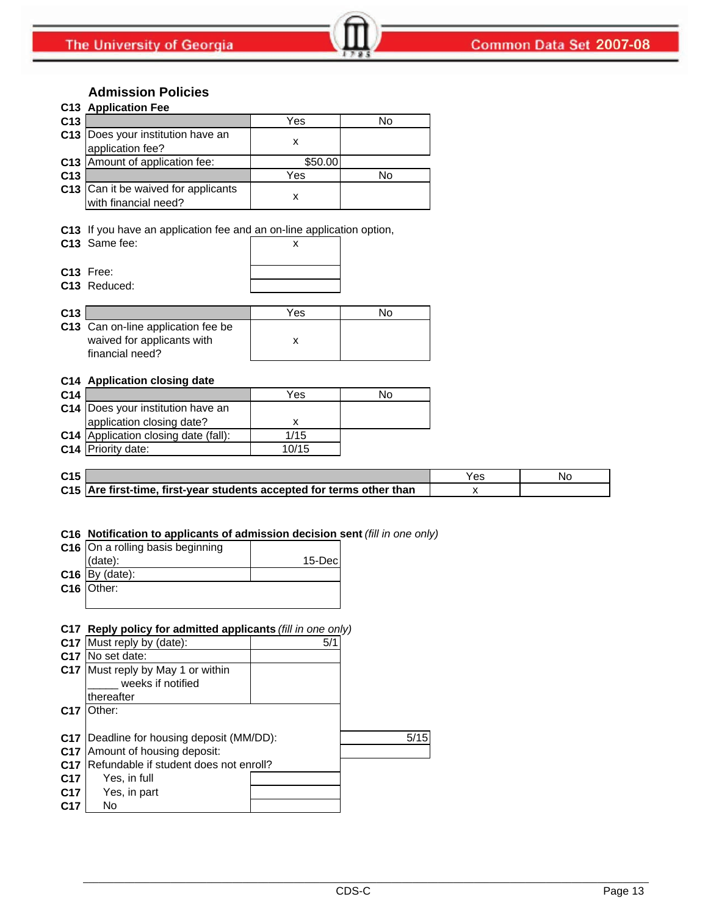# **Admission Policies**

|                 | C13 Application Fee                                         |         |    |  |  |
|-----------------|-------------------------------------------------------------|---------|----|--|--|
| C <sub>13</sub> |                                                             | Yes     | No |  |  |
|                 | C13 Does your institution have an<br>application fee?       |         |    |  |  |
|                 | C13 Amount of application fee:                              | \$50.00 |    |  |  |
| C <sub>13</sub> |                                                             | Yes     | No |  |  |
|                 | C13 Can it be waived for applicants<br>with financial need? |         |    |  |  |

**C13** If you have an application fee and an on-line application option,

**C13** Free: **C13** Reduced:

|  |  | х |  |
|--|--|---|--|
|  |  |   |  |
|  |  |   |  |
|  |  |   |  |
|  |  |   |  |

| C13 |                                                                                     | Yes | N٥ |
|-----|-------------------------------------------------------------------------------------|-----|----|
|     | C13 Can on-line application fee be<br>waived for applicants with<br>financial need? |     |    |

### **C14 Application closing date**

| C <sub>14</sub> |                                      | Yes   | No |
|-----------------|--------------------------------------|-------|----|
|                 | C14   Does your institution have an  |       |    |
|                 | application closing date?            |       |    |
|                 | C14 Application closing date (fall): | 1/15  |    |
|                 | C14 Priority date:                   | 10/15 |    |

| C <sub>15</sub> |                                                                       | res |  |
|-----------------|-----------------------------------------------------------------------|-----|--|
|                 | C15 Are first-time, first-year students accepted for terms other than |     |  |

### **C16 Notification to applicants of admission decision sent** *(fill in one only)*

| C16 On a rolling basis beginning |         |
|----------------------------------|---------|
| (data):                          | 15-Decl |
| $C16$ By (date):                 |         |
| C16 Other:                       |         |
|                                  |         |

### **C17 Reply policy for admitted applicants** *(fill in one only)*

|                 | C17 Must reply by (date):              | 5/1 |      |
|-----------------|----------------------------------------|-----|------|
| C <sub>17</sub> | No set date:                           |     |      |
|                 | C17 Must reply by May 1 or within      |     |      |
|                 | weeks if notified                      |     |      |
|                 | thereafter                             |     |      |
| C <sub>17</sub> | Other:                                 |     |      |
|                 |                                        |     |      |
| C <sub>17</sub> | Deadline for housing deposit (MM/DD):  |     | 5/15 |
| C <sub>17</sub> | Amount of housing deposit:             |     |      |
| C <sub>17</sub> | Refundable if student does not enroll? |     |      |
| C <sub>17</sub> | Yes, in full                           |     |      |
| C <sub>17</sub> | Yes, in part                           |     |      |
| C <sub>17</sub> | No                                     |     |      |
|                 |                                        |     |      |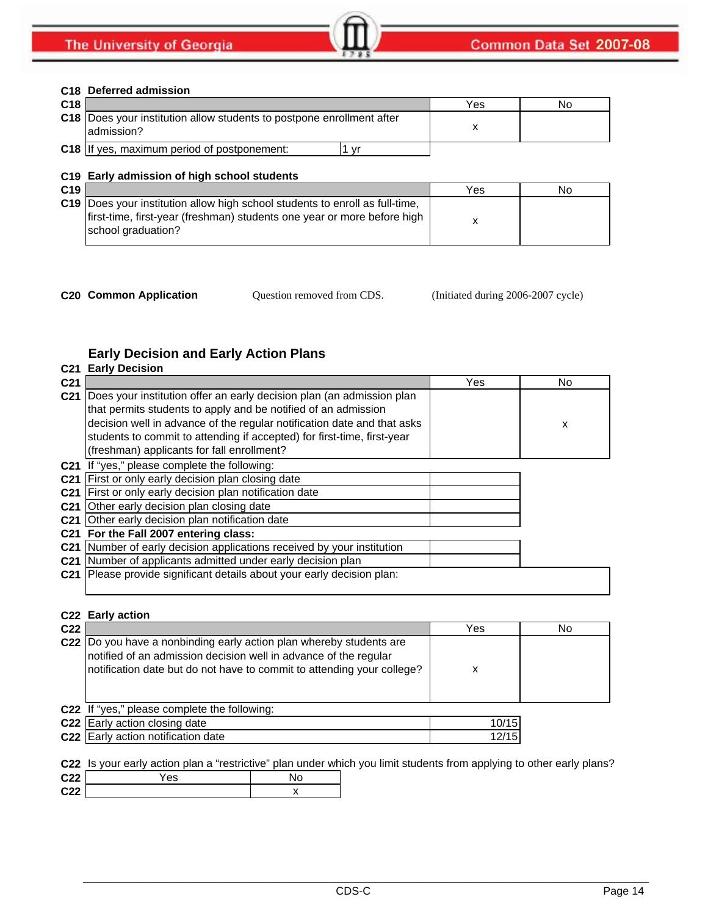### **C18 Deferred admission**

| C <sub>18</sub> |                                                                                             | Yes | No |
|-----------------|---------------------------------------------------------------------------------------------|-----|----|
|                 | <b>C18</b> IDoes your institution allow students to postpone enrollment after<br>admission? |     |    |
|                 | <b>C18</b> If yes, maximum period of postponement:<br>$\mathbf{v}$                          |     |    |

### **C19 Early admission of high school students**

Question removed from CDS.

**C20 Common Application Question removed from CDS.** (Initiated during 2006-2007 cycle)

# **Early Decision and Early Action Plans**

|                 | <b>C21 Early Decision</b>                                                                                                                                                                                                                                                                                                                   |     |     |
|-----------------|---------------------------------------------------------------------------------------------------------------------------------------------------------------------------------------------------------------------------------------------------------------------------------------------------------------------------------------------|-----|-----|
| C <sub>21</sub> |                                                                                                                                                                                                                                                                                                                                             | Yes | No. |
| C <sub>21</sub> | Does your institution offer an early decision plan (an admission plan<br>that permits students to apply and be notified of an admission<br>decision well in advance of the regular notification date and that asks<br>students to commit to attending if accepted) for first-time, first-year<br>(freshman) applicants for fall enrollment? |     | x   |
|                 | C21 If "yes," please complete the following:                                                                                                                                                                                                                                                                                                |     |     |
|                 | C21 First or only early decision plan closing date                                                                                                                                                                                                                                                                                          |     |     |
|                 | C21 First or only early decision plan notification date                                                                                                                                                                                                                                                                                     |     |     |
|                 | C21 Other early decision plan closing date                                                                                                                                                                                                                                                                                                  |     |     |
|                 | C21 Other early decision plan notification date                                                                                                                                                                                                                                                                                             |     |     |
|                 | C21 For the Fall 2007 entering class:                                                                                                                                                                                                                                                                                                       |     |     |
|                 | C21 Number of early decision applications received by your institution                                                                                                                                                                                                                                                                      |     |     |
|                 | C21 Number of applicants admitted under early decision plan                                                                                                                                                                                                                                                                                 |     |     |
|                 | C21 Please provide significant details about your early decision plan:                                                                                                                                                                                                                                                                      |     |     |

# **C22 Early action C22** Yes No **C22** Do you have a nonbinding early action plan whereby students are x **C22** If "yes," please complete the following: **C22** Early action closing date **Action** 2001 10/15 **C22** Early action notification date **C22** 12/15 notified of an admission decision well in advance of the regular notification date but do not have to commit to attending your college?

**C22** Is your early action plan a "restrictive" plan under which you limit students from applying to other early plans?

| C <sub>22</sub> | ′es | ٧c |
|-----------------|-----|----|
| C <sub>22</sub> |     |    |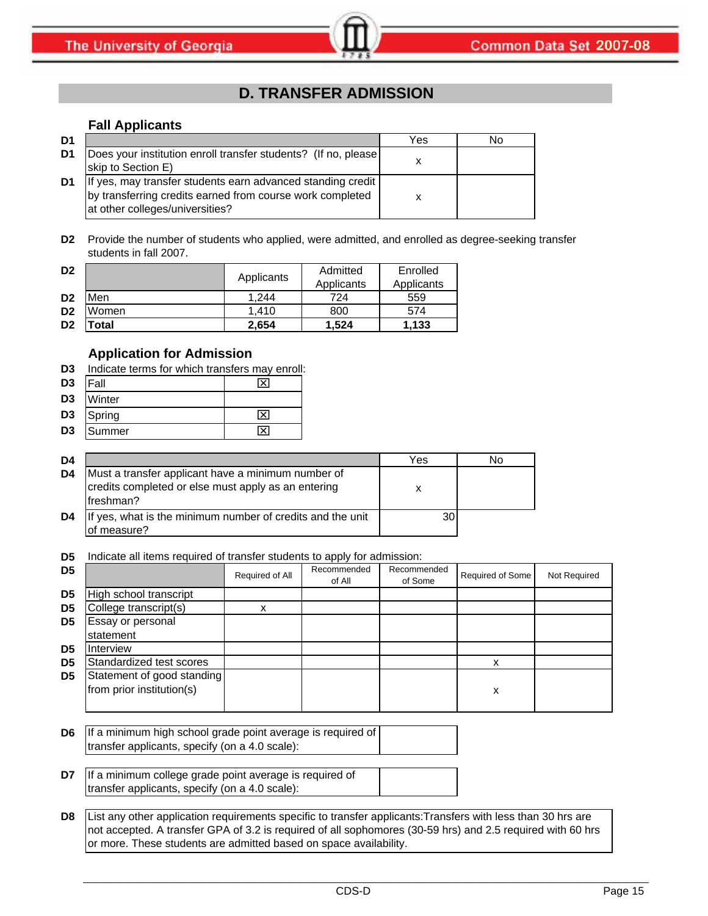# **D. TRANSFER ADMISSION**

### **Fall Applicants**

| D1             |                                                                                                                                                             | Yes | No |
|----------------|-------------------------------------------------------------------------------------------------------------------------------------------------------------|-----|----|
| D <sub>1</sub> | Does your institution enroll transfer students? (If no, please<br>skip to Section E)                                                                        |     |    |
| D1             | If yes, may transfer students earn advanced standing credit<br>by transferring credits earned from course work completed<br>at other colleges/universities? | x   |    |

**D2** Provide the number of students who applied, were admitted, and enrolled as degree-seeking transfer students in fall 2007.

| D <sub>2</sub> |       |            | Admitted   | Enrolled   |
|----------------|-------|------------|------------|------------|
|                |       | Applicants | Applicants | Applicants |
| D <sub>2</sub> | Men   | 1.244      | 724        | 559        |
| D <sub>2</sub> | Women | 1.410      | 800        | 574        |
| D <sub>2</sub> | 'otal | 2.654      | 1.524      | 1.133      |

# **Application for Admission**

| D <sub>3</sub> | Indicate terms for which transfers may enroll: |  |
|----------------|------------------------------------------------|--|
|                |                                                |  |

| D <sub>3</sub> | <sup>=</sup> all | ᠊᠆ |
|----------------|------------------|----|
| <b>DO</b>      | .                |    |

| D3 Winter |  |
|-----------|--|
| D3 Spring |  |

**D3** Summer X

| D4 |                                                                                                                         | Yes | N٥ |
|----|-------------------------------------------------------------------------------------------------------------------------|-----|----|
| D4 | Must a transfer applicant have a minimum number of<br>credits completed or else must apply as an entering<br>lfreshman? |     |    |
| D4 | If yes, what is the minimum number of credits and the unit<br>of measure?                                               | 30  |    |

**D5** Indicate all items required of transfer students to apply for admission:

| D <sub>5</sub> |                                                         | Required of All | Recommended<br>of All | Recommended<br>of Some | Required of Some | Not Required |
|----------------|---------------------------------------------------------|-----------------|-----------------------|------------------------|------------------|--------------|
| D <sub>5</sub> | High school transcript                                  |                 |                       |                        |                  |              |
| D <sub>5</sub> | College transcript(s)                                   |                 |                       |                        |                  |              |
| D <sub>5</sub> | Essay or personal<br>statement                          |                 |                       |                        |                  |              |
| D <sub>5</sub> | Interview                                               |                 |                       |                        |                  |              |
| D <sub>5</sub> | Standardized test scores                                |                 |                       |                        | x                |              |
| D <sub>5</sub> | Statement of good standing<br>from prior institution(s) |                 |                       |                        | x                |              |

**D6** If a minimum high school grade point average is required of transfer applicants, specify (on a 4.0 scale):

**D7** If a minimum college grade point average is required of transfer applicants, specify (on a 4.0 scale):

**D8** List any other application requirements specific to transfer applicants:Transfers with less than 30 hrs are not accepted. A transfer GPA of 3.2 is required of all sophomores (30-59 hrs) and 2.5 required with 60 hrs or more. These students are admitted based on space availability.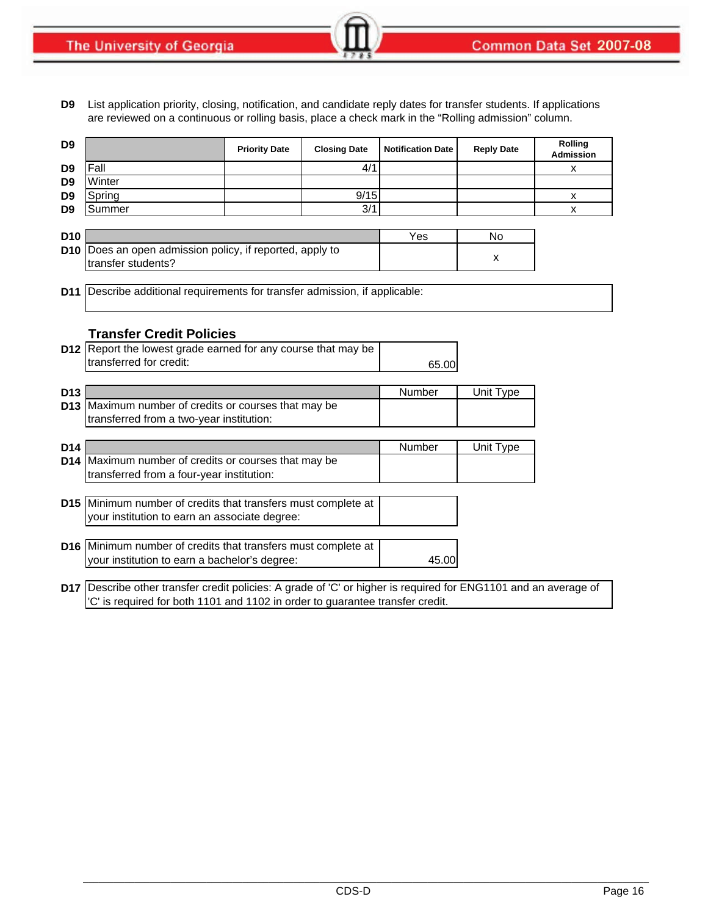**D9** List application priority, closing, notification, and candidate reply dates for transfer students. If applications are reviewed on a continuous or rolling basis, place a check mark in the "Rolling admission" column.

| D <sub>9</sub>  |                                                                                                                 | <b>Priority Date</b> | <b>Closing Date</b> | <b>Notification Date</b> | <b>Reply Date</b> | <b>Rolling</b><br><b>Admission</b> |
|-----------------|-----------------------------------------------------------------------------------------------------------------|----------------------|---------------------|--------------------------|-------------------|------------------------------------|
| D <sub>9</sub>  | Fall                                                                                                            |                      | 4/1                 |                          |                   | х                                  |
| D <sub>9</sub>  | Winter                                                                                                          |                      |                     |                          |                   |                                    |
| D <sub>9</sub>  | Spring                                                                                                          |                      | 9/15                |                          |                   | x                                  |
| D <sub>9</sub>  | Summer                                                                                                          |                      | 3/1                 |                          |                   | X                                  |
|                 |                                                                                                                 |                      |                     |                          |                   |                                    |
| D <sub>10</sub> |                                                                                                                 |                      |                     | Yes                      | No                |                                    |
| D <sub>10</sub> | Does an open admission policy, if reported, apply to                                                            |                      |                     |                          | x                 |                                    |
|                 | transfer students?                                                                                              |                      |                     |                          |                   |                                    |
|                 |                                                                                                                 |                      |                     |                          |                   |                                    |
| D <sub>11</sub> | Describe additional requirements for transfer admission, if applicable:                                         |                      |                     |                          |                   |                                    |
|                 |                                                                                                                 |                      |                     |                          |                   |                                    |
|                 | <b>Transfer Credit Policies</b>                                                                                 |                      |                     |                          |                   |                                    |
|                 | <b>D12</b> Report the lowest grade earned for any course that may be                                            |                      |                     |                          |                   |                                    |
|                 | transferred for credit:                                                                                         |                      |                     |                          |                   |                                    |
|                 |                                                                                                                 |                      |                     | 65.00                    |                   |                                    |
| D <sub>13</sub> |                                                                                                                 |                      |                     | Number                   | Unit Type         |                                    |
|                 | D13 Maximum number of credits or courses that may be                                                            |                      |                     |                          |                   |                                    |
|                 | transferred from a two-year institution:                                                                        |                      |                     |                          |                   |                                    |
|                 |                                                                                                                 |                      |                     |                          |                   |                                    |
| D <sub>14</sub> |                                                                                                                 |                      |                     | Number                   | Unit Type         |                                    |
| D <sub>14</sub> | Maximum number of credits or courses that may be                                                                |                      |                     |                          |                   |                                    |
|                 | transferred from a four-year institution:                                                                       |                      |                     |                          |                   |                                    |
|                 |                                                                                                                 |                      |                     |                          |                   |                                    |
|                 | D15 Minimum number of credits that transfers must complete at                                                   |                      |                     |                          |                   |                                    |
|                 | your institution to earn an associate degree:                                                                   |                      |                     |                          |                   |                                    |
|                 |                                                                                                                 |                      |                     |                          |                   |                                    |
|                 | D16 Minimum number of credits that transfers must complete at                                                   |                      |                     |                          |                   |                                    |
|                 | your institution to earn a bachelor's degree:                                                                   |                      |                     | 45.00                    |                   |                                    |
|                 |                                                                                                                 |                      |                     |                          |                   |                                    |
|                 | D17 Describe other transfer credit policies: A grade of 'C' or higher is required for ENG1101 and an average of |                      |                     |                          |                   |                                    |
|                 | 'C' is required for both 1101 and 1102 in order to guarantee transfer credit.                                   |                      |                     |                          |                   |                                    |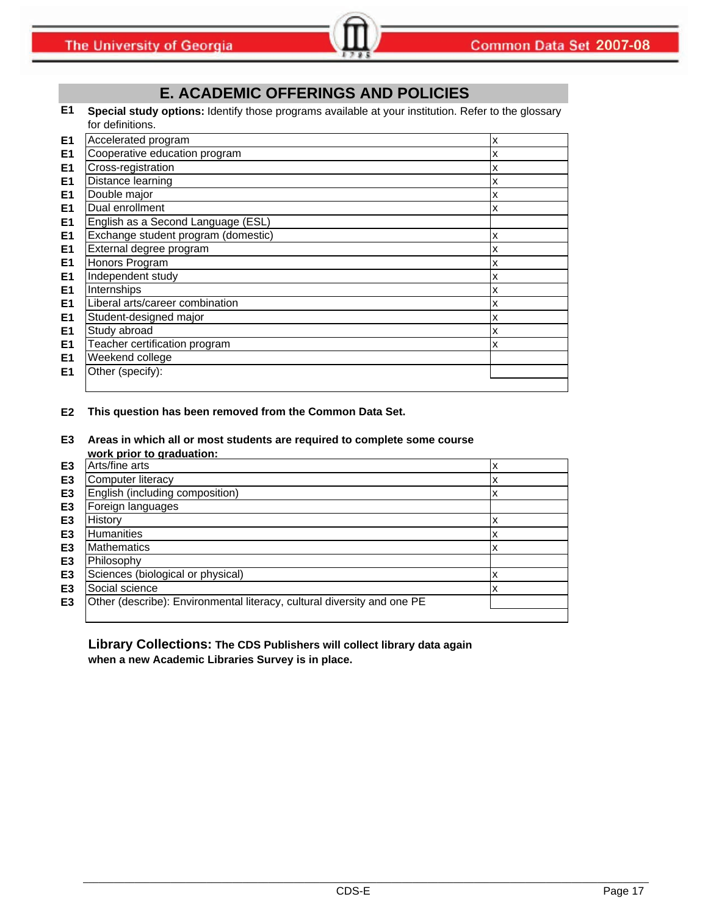# **E. ACADEMIC OFFERINGS AND POLICIES**

**E1 Special study options:** Identify those programs available at your institution. Refer to the glossary for definitions.

| E <sub>1</sub> | Accelerated program                 | x |
|----------------|-------------------------------------|---|
| E <sub>1</sub> | Cooperative education program       | X |
| E <sub>1</sub> | Cross-registration                  | x |
| E <sub>1</sub> | Distance learning                   | x |
| E <sub>1</sub> | Double major                        | x |
| E <sub>1</sub> | Dual enrollment                     | x |
| E <sub>1</sub> | English as a Second Language (ESL)  |   |
| E <sub>1</sub> | Exchange student program (domestic) | x |
| E <sub>1</sub> | External degree program             | x |
| E <sub>1</sub> | Honors Program                      | x |
| E <sub>1</sub> | Independent study                   | x |
| E <sub>1</sub> | Internships                         | x |
| E <sub>1</sub> | Liberal arts/career combination     | x |
| E <sub>1</sub> | Student-designed major              | x |
| E <sub>1</sub> | Study abroad                        | x |
| E <sub>1</sub> | Teacher certification program       | x |
| E <sub>1</sub> | Weekend college                     |   |
| E <sub>1</sub> | Other (specify):                    |   |
|                |                                     |   |

### **E2 This question has been removed from the Common Data Set.**

**E3 Areas in which all or most students are required to complete some course work prior to graduation:**

|                | . <b>.</b>                                                              |        |
|----------------|-------------------------------------------------------------------------|--------|
| E <sub>3</sub> | Arts/fine arts                                                          | ᄉ      |
| E <sub>3</sub> | <b>Computer literacy</b>                                                | ́^     |
| E <sub>3</sub> | English (including composition)                                         | ີ<br>⋏ |
| E <sub>3</sub> | Foreign languages                                                       |        |
| E <sub>3</sub> | History                                                                 | ́^     |
| E <sub>3</sub> | <b>Humanities</b>                                                       | x      |
| E <sub>3</sub> | <b>Mathematics</b>                                                      | x      |
| E <sub>3</sub> | Philosophy                                                              |        |
| E <sub>3</sub> | Sciences (biological or physical)                                       | x      |
| E <sub>3</sub> | Social science                                                          | ́      |
| E <sub>3</sub> | Other (describe): Environmental literacy, cultural diversity and one PE |        |
|                |                                                                         |        |

### **Library Collections: The CDS Publishers will collect library data again when a new Academic Libraries Survey is in place.**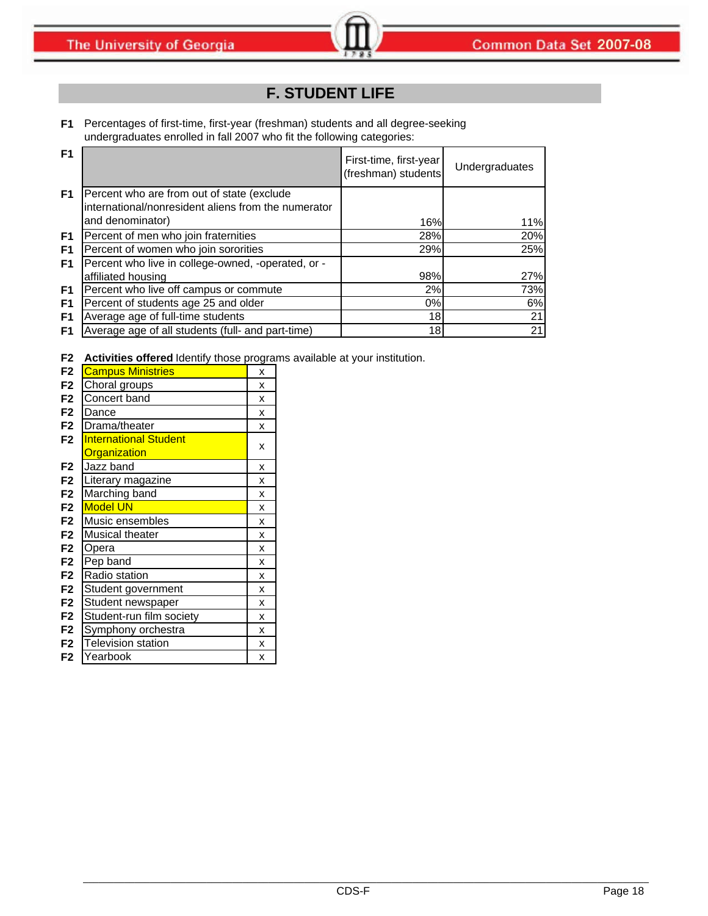# **F. STUDENT LIFE**

**F1** Percentages of first-time, first-year (freshman) students and all degree-seeking undergraduates enrolled in fall 2007 who fit the following categories:

| F <sub>1</sub> |                                                                          | First-time, first-year<br>(freshman) students | Undergraduates |
|----------------|--------------------------------------------------------------------------|-----------------------------------------------|----------------|
| F <sub>1</sub> | Percent who are from out of state (exclude                               |                                               |                |
|                | international/nonresident aliens from the numerator<br>and denominator)  | 16%                                           | 11%            |
| F1             | Percent of men who join fraternities                                     | 28%                                           | 20%            |
| F <sub>1</sub> | Percent of women who join sororities                                     | 29%                                           | 25%            |
| F <sub>1</sub> | Percent who live in college-owned, -operated, or -<br>affiliated housing | 98%                                           | 27%            |
| F <sub>1</sub> | Percent who live off campus or commute                                   | 2%                                            | 73%            |
| F1             | Percent of students age 25 and older                                     | 0%                                            | 6%             |
| F <sub>1</sub> | Average age of full-time students                                        | 18                                            | 21             |
| F1             | Average age of all students (full- and part-time)                        | 18                                            | 21             |

**F2 Activities offered** Identify those programs available at your institution.

| F <sub>2</sub> | <b>Campus Ministries</b>     | X |
|----------------|------------------------------|---|
| F <sub>2</sub> | Choral groups                | X |
| F <sub>2</sub> | Concert band                 | X |
| F <sub>2</sub> | Dance                        | X |
| F <sub>2</sub> | Drama/theater                | X |
| F <sub>2</sub> | <b>International Student</b> |   |
|                | <b>Organization</b>          | x |
| F <sub>2</sub> | Jazz band                    | X |
| F <sub>2</sub> | Literary magazine            | X |
| F <sub>2</sub> | Marching band                | X |
| F <sub>2</sub> | <b>Model UN</b>              | X |
| F <sub>2</sub> | Music ensembles              | X |
| F <sub>2</sub> | Musical theater              | X |
| F <sub>2</sub> | Opera                        | X |
| F <sub>2</sub> | Pep band                     | x |
| F <sub>2</sub> | Radio station                | X |
| F <sub>2</sub> | Student government           | X |
| F <sub>2</sub> | Student newspaper            | X |
| F <sub>2</sub> | Student-run film society     | X |
| F <sub>2</sub> | Symphony orchestra           | X |
| F <sub>2</sub> | <b>Television station</b>    | X |
| F2             | Yearbook                     | X |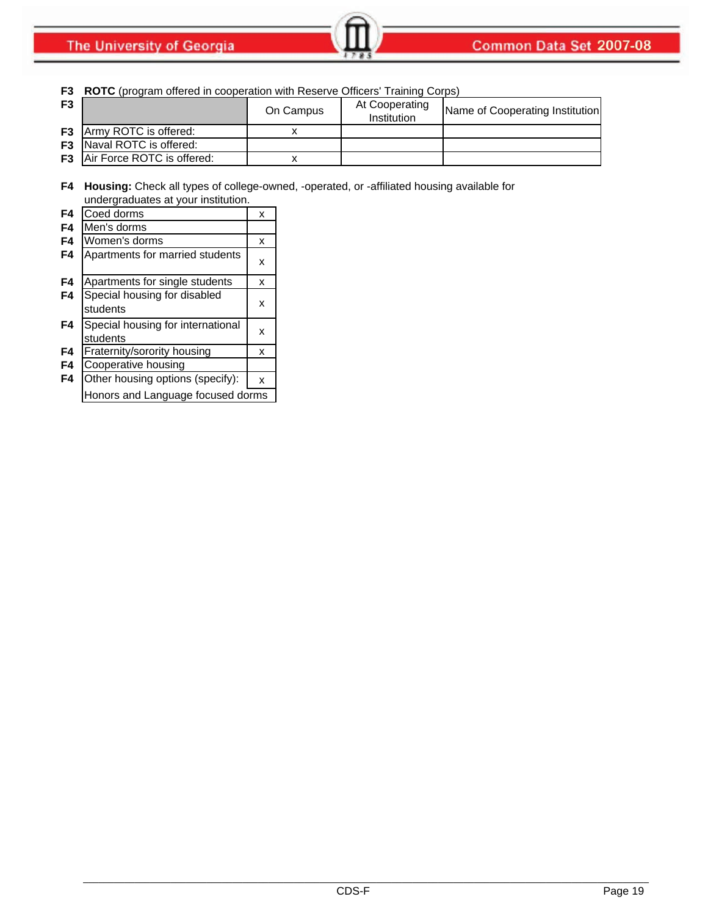|                | <b>F3</b> ROTC (program offered in cooperation with Reserve Officers' Training Corps) |           |                               |                                 |  |
|----------------|---------------------------------------------------------------------------------------|-----------|-------------------------------|---------------------------------|--|
| F <sub>3</sub> |                                                                                       | On Campus | At Cooperating<br>Institution | Name of Cooperating Institution |  |
|                | <b>F3</b> Army ROTC is offered:                                                       |           |                               |                                 |  |
|                | <b>F3</b> Naval ROTC is offered:                                                      |           |                               |                                 |  |
|                | <b>F3</b> Air Force ROTC is offered:                                                  |           |                               |                                 |  |
|                |                                                                                       |           |                               |                                 |  |

**F4 Housing:** Check all types of college-owned, -operated, or -affiliated housing available for undergraduates at your institution.

| F4 | Coed dorms                                    | x |
|----|-----------------------------------------------|---|
| F4 | Men's dorms                                   |   |
| F4 | Women's dorms                                 | x |
| F4 | Apartments for married students               | x |
| F4 | Apartments for single students                | x |
| F4 | Special housing for disabled<br>students      | x |
| F4 | Special housing for international<br>students | x |
| F4 | Fraternity/sorority housing                   | x |
| F4 | Cooperative housing                           |   |
| F4 | Other housing options (specify):              | x |
|    | Honors and Language focused dorms             |   |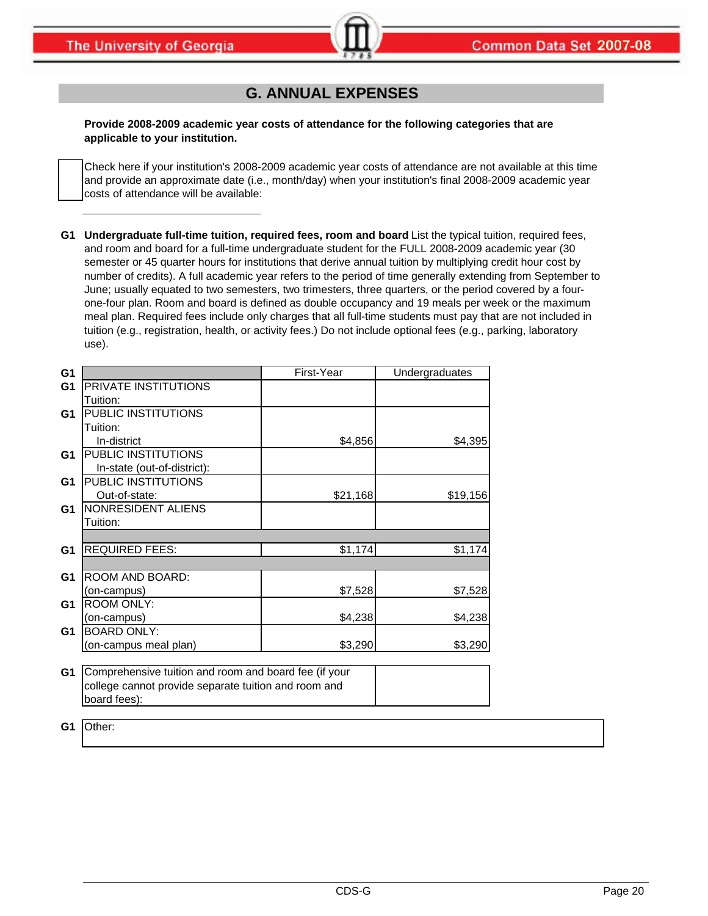# **G. ANNUAL EXPENSES**

**Provide 2008-2009 academic year costs of attendance for the following categories that are applicable to your institution.**

Check here if your institution's 2008-2009 academic year costs of attendance are not available at this time and provide an approximate date (i.e., month/day) when your institution's final 2008-2009 academic year costs of attendance will be available:

**G1 Undergraduate full-time tuition, required fees, room and board** List the typical tuition, required fees, and room and board for a full-time undergraduate student for the FULL 2008-2009 academic year (30 semester or 45 quarter hours for institutions that derive annual tuition by multiplying credit hour cost by number of credits). A full academic year refers to the period of time generally extending from September to June; usually equated to two semesters, two trimesters, three quarters, or the period covered by a fourone-four plan. Room and board is defined as double occupancy and 19 meals per week or the maximum meal plan. Required fees include only charges that all full-time students must pay that are not included in tuition (e.g., registration, health, or activity fees.) Do not include optional fees (e.g., parking, laboratory use).

| G <sub>1</sub> |                                                       | First-Year | Undergraduates |  |  |
|----------------|-------------------------------------------------------|------------|----------------|--|--|
| G <sub>1</sub> | PRIVATE INSTITUTIONS                                  |            |                |  |  |
|                | Tuition:                                              |            |                |  |  |
| G <sub>1</sub> | PUBLIC INSTITUTIONS                                   |            |                |  |  |
|                | Tuition:                                              |            |                |  |  |
|                | In-district                                           | \$4,856    | \$4,395        |  |  |
| G <sub>1</sub> | PUBLIC INSTITUTIONS                                   |            |                |  |  |
|                | In-state (out-of-district):                           |            |                |  |  |
| G1             | PUBLIC INSTITUTIONS                                   |            |                |  |  |
|                | Out-of-state:                                         | \$21,168   | \$19,156       |  |  |
| G <sub>1</sub> | NONRESIDENT ALIENS                                    |            |                |  |  |
|                | Tuition:                                              |            |                |  |  |
|                |                                                       |            |                |  |  |
| G <sub>1</sub> | <b>REQUIRED FEES:</b>                                 | \$1,174    | \$1,174        |  |  |
|                |                                                       |            |                |  |  |
| G <sub>1</sub> | ROOM AND BOARD:                                       |            |                |  |  |
|                | (on-campus)                                           | \$7,528    | \$7,528        |  |  |
| G <sub>1</sub> | <b>ROOM ONLY:</b>                                     |            |                |  |  |
|                | (on-campus)                                           | \$4,238    | \$4,238        |  |  |
| G <sub>1</sub> | <b>BOARD ONLY:</b>                                    |            |                |  |  |
|                | (on-campus meal plan)                                 | \$3,290    | \$3,290        |  |  |
|                |                                                       |            |                |  |  |
| G <sub>1</sub> | Comprehensive tuition and room and board fee (if your |            |                |  |  |
|                | college cannot provide separate tuition and room and  |            |                |  |  |
|                | board fees):                                          |            |                |  |  |

**G1** Other: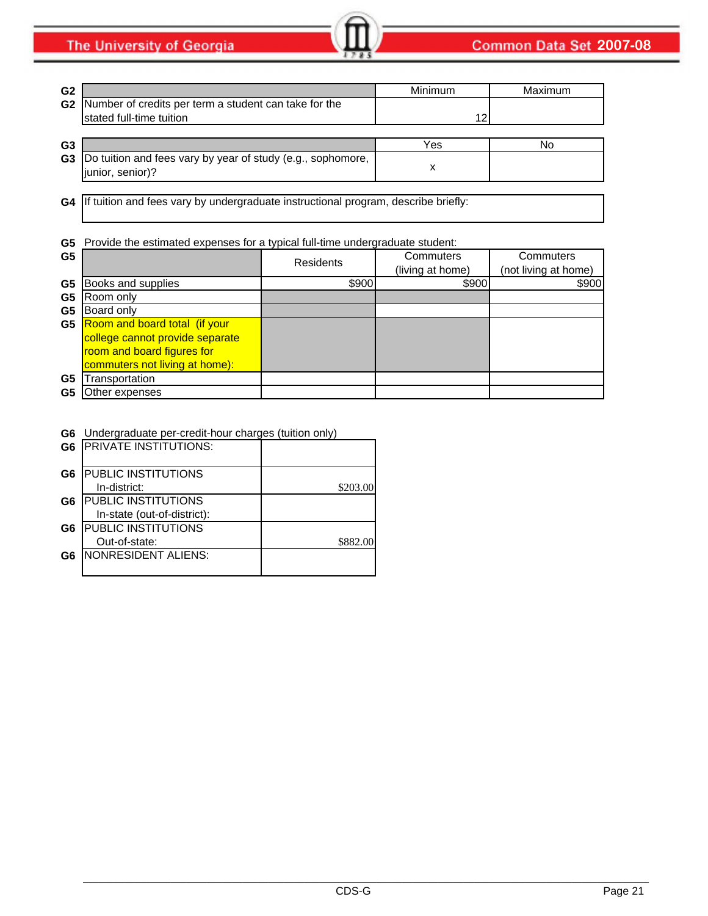The University of Georgia

| G <sub>2</sub> |                                                                                      | Minimum | Maximum |
|----------------|--------------------------------------------------------------------------------------|---------|---------|
|                | G2 Number of credits per term a student can take for the<br>stated full-time tuition | 12      |         |
|                |                                                                                      |         |         |
| G3             |                                                                                      | Yes     | No      |
| G <sub>3</sub> | Do tuition and fees vary by year of study (e.g., sophomore,<br>junior, senior)?      |         |         |

**G4** If tuition and fees vary by undergraduate instructional program, describe briefly:

### **G5** Provide the estimated expenses for a typical full-time undergraduate student:

| G <sub>5</sub> |                                 | <b>Residents</b> | Commuters<br>(living at home) | Commuters<br>(not living at home) |
|----------------|---------------------------------|------------------|-------------------------------|-----------------------------------|
| G <sub>5</sub> | Books and supplies              | \$900            | \$900                         | \$900                             |
| G <sub>5</sub> | Room only                       |                  |                               |                                   |
| G <sub>5</sub> | Board only                      |                  |                               |                                   |
| G5             | Room and board total (if your   |                  |                               |                                   |
|                | college cannot provide separate |                  |                               |                                   |
|                | room and board figures for      |                  |                               |                                   |
|                | commuters not living at home):  |                  |                               |                                   |
| G5             | ransportation                   |                  |                               |                                   |
| G5             | Other expenses                  |                  |                               |                                   |

### **G6** Undergraduate per-credit-hour charges (tuition only)

|    | <b>G6 PRIVATE INSTITUTIONS:</b> |          |
|----|---------------------------------|----------|
| G6 | <b>PUBLIC INSTITUTIONS</b>      |          |
|    | In-district:                    | \$203.00 |
| G6 | <b>PUBLIC INSTITUTIONS</b>      |          |
|    | In-state (out-of-district):     |          |
| G6 | <b>PUBLIC INSTITUTIONS</b>      |          |
|    | Out-of-state:                   | \$882.00 |
| G6 | NONRESIDENT ALIENS:             |          |
|    |                                 |          |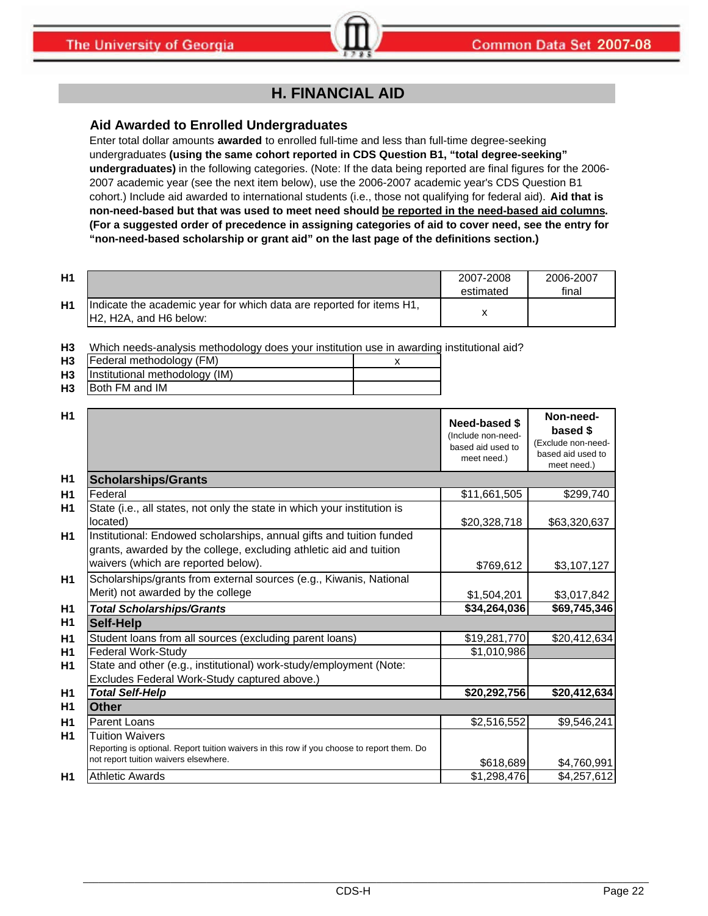# **H. FINANCIAL AID**

# **Aid Awarded to Enrolled Undergraduates**

Enter total dollar amounts **awarded** to enrolled full-time and less than full-time degree-seeking undergraduates **(using the same cohort reported in CDS Question B1, "total degree-seeking" undergraduates)** in the following categories. (Note: If the data being reported are final figures for the 2006- 2007 academic year (see the next item below), use the 2006-2007 academic year's CDS Question B1 cohort.) Include aid awarded to international students (i.e., those not qualifying for federal aid). **Aid that is non-need-based but that was used to meet need should be reported in the need-based aid columns. (For a suggested order of precedence in assigning categories of aid to cover need, see the entry for "non-need-based scholarship or grant aid" on the last page of the definitions section.)**

| H <sub>1</sub> |                                                                                                 | 2007-2008 | 2006-2007 |
|----------------|-------------------------------------------------------------------------------------------------|-----------|-----------|
|                |                                                                                                 | estimated | final     |
| H <sub>1</sub> | Indicate the academic year for which data are reported for items H1,<br>IH2. H2A, and H6 below: |           |           |

**H3** Which needs-analysis methodology does your institution use in awarding institutional aid?

| H <sub>3</sub> | Federal methodology (FM)       |  |
|----------------|--------------------------------|--|
| H <sub>3</sub> | Institutional methodology (IM) |  |
| H <sub>3</sub> | <b>IBoth FM and IM</b>         |  |

| H1             |                                                                                                                                                                                   | Need-based \$<br>(Include non-need-<br>based aid used to<br>meet need.) | Non-need-<br>based \$<br>(Exclude non-need-<br>based aid used to<br>meet need.) |
|----------------|-----------------------------------------------------------------------------------------------------------------------------------------------------------------------------------|-------------------------------------------------------------------------|---------------------------------------------------------------------------------|
| H1             | <b>Scholarships/Grants</b>                                                                                                                                                        |                                                                         |                                                                                 |
| H1             | Federal                                                                                                                                                                           | \$11,661,505                                                            | \$299,740                                                                       |
| H <sub>1</sub> | State (i.e., all states, not only the state in which your institution is<br>located)                                                                                              | \$20,328,718                                                            | \$63,320,637                                                                    |
| H1             | Institutional: Endowed scholarships, annual gifts and tuition funded<br>grants, awarded by the college, excluding athletic aid and tuition<br>waivers (which are reported below). | \$769,612                                                               | \$3,107,127                                                                     |
| H1             | Scholarships/grants from external sources (e.g., Kiwanis, National<br>Merit) not awarded by the college                                                                           | \$1,504,201                                                             | \$3,017,842                                                                     |
| H1             | <b>Total Scholarships/Grants</b>                                                                                                                                                  | \$34,264,036                                                            | \$69,745,346                                                                    |
| H1             | <b>Self-Help</b>                                                                                                                                                                  |                                                                         |                                                                                 |
| H1             | Student loans from all sources (excluding parent loans)                                                                                                                           | \$19,281,770                                                            | \$20,412,634                                                                    |
| H1             | <b>Federal Work-Study</b>                                                                                                                                                         | \$1,010,986                                                             |                                                                                 |
| H1             | State and other (e.g., institutional) work-study/employment (Note:<br>Excludes Federal Work-Study captured above.)                                                                |                                                                         |                                                                                 |
| H1             | <b>Total Self-Help</b>                                                                                                                                                            | \$20,292,756                                                            | \$20,412,634                                                                    |
| H1             | <b>Other</b>                                                                                                                                                                      |                                                                         |                                                                                 |
| H1             | <b>Parent Loans</b>                                                                                                                                                               | \$2,516,552                                                             | \$9,546,241                                                                     |
| H <sub>1</sub> | <b>Tuition Waivers</b><br>Reporting is optional. Report tuition waivers in this row if you choose to report them. Do<br>not report tuition waivers elsewhere.                     | \$618,689                                                               | \$4,760,991                                                                     |
| H1             | <b>Athletic Awards</b>                                                                                                                                                            | \$1,298,476                                                             | \$4,257,612                                                                     |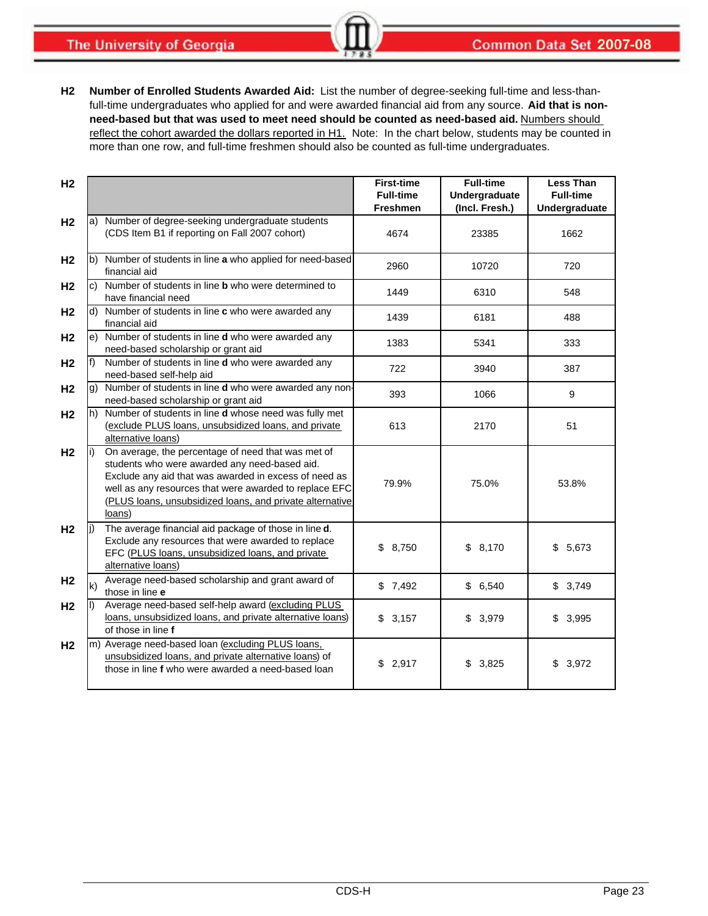**The University of Georgia** 

**H2 Number of Enrolled Students Awarded Aid:** List the number of degree-seeking full-time and less-thanfull-time undergraduates who applied for and were awarded financial aid from any source. **Aid that is nonneed-based but that was used to meet need should be counted as need-based aid.** Numbers should reflect the cohort awarded the dollars reported in H1. Note: In the chart below, students may be counted in more than one row, and full-time freshmen should also be counted as full-time undergraduates.

| H <sub>2</sub> |              |                                                                                                                                                                                                                                                                                              | <b>First-time</b><br><b>Full-time</b><br><b>Freshmen</b> | <b>Full-time</b><br>Undergraduate<br>(Incl. Fresh.) | <b>Less Than</b><br><b>Full-time</b><br>Undergraduate |
|----------------|--------------|----------------------------------------------------------------------------------------------------------------------------------------------------------------------------------------------------------------------------------------------------------------------------------------------|----------------------------------------------------------|-----------------------------------------------------|-------------------------------------------------------|
| H <sub>2</sub> |              | a) Number of degree-seeking undergraduate students<br>(CDS Item B1 if reporting on Fall 2007 cohort)                                                                                                                                                                                         | 4674                                                     | 23385                                               | 1662                                                  |
| H <sub>2</sub> |              | b) Number of students in line a who applied for need-based<br>financial aid                                                                                                                                                                                                                  | 2960                                                     | 10720                                               | 720                                                   |
| H <sub>2</sub> |              | c) Number of students in line <b>b</b> who were determined to<br>have financial need                                                                                                                                                                                                         | 1449                                                     | 6310                                                | 548                                                   |
| H <sub>2</sub> |              | d) Number of students in line c who were awarded any<br>financial aid                                                                                                                                                                                                                        | 1439                                                     | 6181                                                | 488                                                   |
| H <sub>2</sub> |              | e) Number of students in line d who were awarded any<br>need-based scholarship or grant aid                                                                                                                                                                                                  | 1383                                                     | 5341                                                | 333                                                   |
| H2             | $f$ )        | Number of students in line d who were awarded any<br>need-based self-help aid                                                                                                                                                                                                                | 722                                                      | 3940                                                | 387                                                   |
| H <sub>2</sub> |              | g) Number of students in line <b>d</b> who were awarded any non-<br>need-based scholarship or grant aid                                                                                                                                                                                      | 393                                                      | 1066                                                | 9                                                     |
| H <sub>2</sub> |              | h) Number of students in line <b>d</b> whose need was fully met<br>(exclude PLUS loans, unsubsidized loans, and private<br>alternative loans)                                                                                                                                                | 613                                                      | 2170                                                | 51                                                    |
| H <sub>2</sub> | li)          | On average, the percentage of need that was met of<br>students who were awarded any need-based aid.<br>Exclude any aid that was awarded in excess of need as<br>well as any resources that were awarded to replace EFC<br>(PLUS loans, unsubsidized loans, and private alternative<br>loans) | 79.9%                                                    | 75.0%                                               | 53.8%                                                 |
| H <sub>2</sub> | li)          | The average financial aid package of those in line d.<br>Exclude any resources that were awarded to replace<br>EFC (PLUS loans, unsubsidized loans, and private<br>alternative loans)                                                                                                        | \$8,750                                                  | \$8,170                                             | \$<br>5,673                                           |
| H <sub>2</sub> | $\mathsf{k}$ | Average need-based scholarship and grant award of<br>those in line e                                                                                                                                                                                                                         | \$7,492                                                  | \$6,540                                             | \$3,749                                               |
| H <sub>2</sub> | II)          | Average need-based self-help award (excluding PLUS<br>loans, unsubsidized loans, and private alternative loans)<br>of those in line f                                                                                                                                                        | \$3,157                                                  | \$3,979                                             | \$<br>3,995                                           |
| H <sub>2</sub> |              | m) Average need-based loan (excluding PLUS loans,<br>unsubsidized loans, and private alternative loans) of<br>those in line f who were awarded a need-based loan                                                                                                                             | \$2,917                                                  | \$3,825                                             | \$3,972                                               |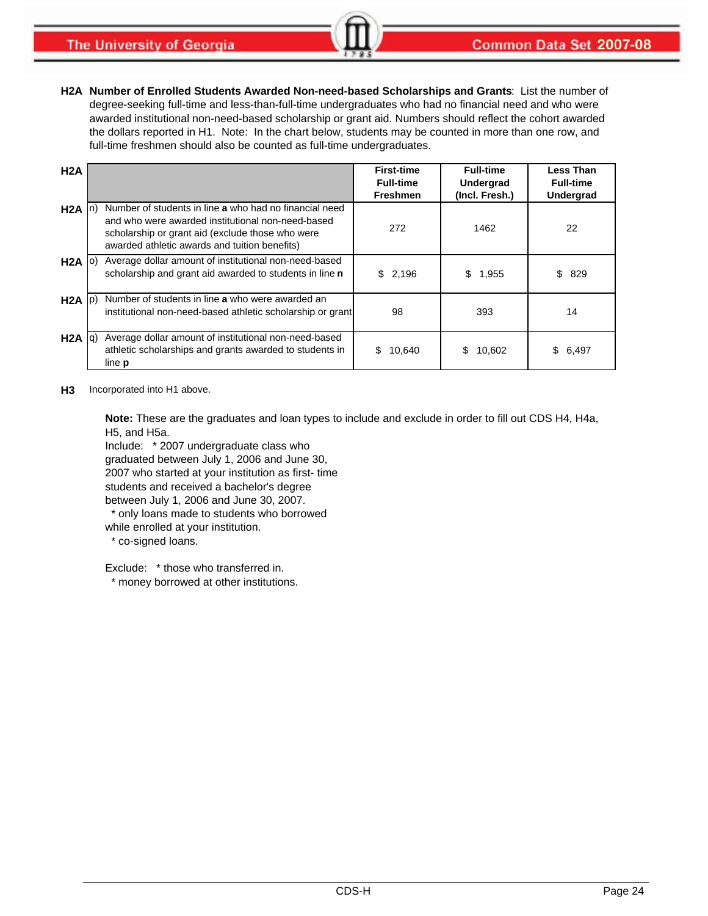**H2A Number of Enrolled Students Awarded Non-need-based Scholarships and Grants**: List the number of degree-seeking full-time and less-than-full-time undergraduates who had no financial need and who were awarded institutional non-need-based scholarship or grant aid. Numbers should reflect the cohort awarded the dollars reported in H1. Note: In the chart below, students may be counted in more than one row, and full-time freshmen should also be counted as full-time undergraduates.

| H2A               |                                                                                                                                                                                                                  | <b>First-time</b><br><b>Full-time</b><br><b>Freshmen</b> | <b>Full-time</b><br>Undergrad<br>(Incl. Fresh.) | <b>Less Than</b><br><b>Full-time</b><br>Undergrad |
|-------------------|------------------------------------------------------------------------------------------------------------------------------------------------------------------------------------------------------------------|----------------------------------------------------------|-------------------------------------------------|---------------------------------------------------|
| $H2A \n n)$       | Number of students in line a who had no financial need<br>and who were awarded institutional non-need-based<br>scholarship or grant aid (exclude those who were<br>awarded athletic awards and tuition benefits) | 272                                                      | 1462                                            | 22                                                |
| $H2A$ (0)         | Average dollar amount of institutional non-need-based<br>scholarship and grant aid awarded to students in line n                                                                                                 | \$2,196                                                  | \$<br>1,955                                     | 829<br>\$.                                        |
| $H2A$ $ p\rangle$ | Number of students in line a who were awarded an<br>institutional non-need-based athletic scholarship or grant                                                                                                   | 98                                                       | 393                                             | 14                                                |
| $H2A  q\rangle$   | Average dollar amount of institutional non-need-based<br>athletic scholarships and grants awarded to students in<br>line <b>p</b>                                                                                | 10,640<br>S                                              | S<br>10,602                                     | 6,497<br>\$                                       |

**H3** Incorporated into H1 above.

**Note:** These are the graduates and loan types to include and exclude in order to fill out CDS H4, H4a, H5, and H5a.

Include: \* 2007 undergraduate class who graduated between July 1, 2006 and June 30, 2007 who started at your institution as first- time students and received a bachelor's degree between July 1, 2006 and June 30, 2007.

\* only loans made to students who borrowed

- while enrolled at your institution.
- \* co-signed loans.

Exclude: \* those who transferred in.

\* money borrowed at other institutions.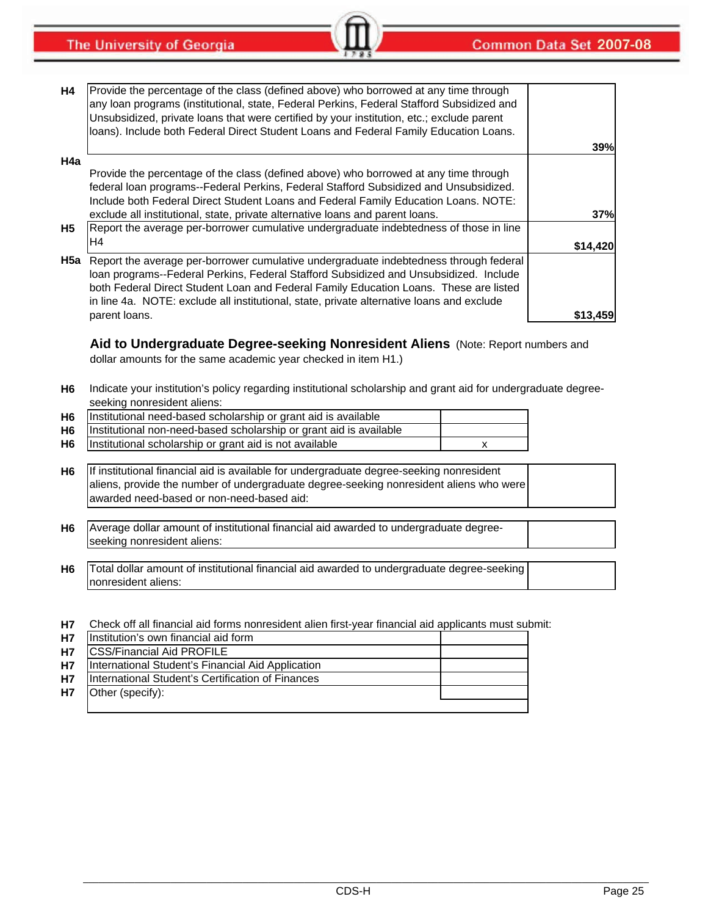**The University of Georgia** 

| H4  | Provide the percentage of the class (defined above) who borrowed at any time through<br>any loan programs (institutional, state, Federal Perkins, Federal Stafford Subsidized and<br>Unsubsidized, private loans that were certified by your institution, etc.; exclude parent<br>loans). Include both Federal Direct Student Loans and Federal Family Education Loans. |          |
|-----|-------------------------------------------------------------------------------------------------------------------------------------------------------------------------------------------------------------------------------------------------------------------------------------------------------------------------------------------------------------------------|----------|
|     |                                                                                                                                                                                                                                                                                                                                                                         | 39%      |
| H4a |                                                                                                                                                                                                                                                                                                                                                                         |          |
|     | Provide the percentage of the class (defined above) who borrowed at any time through                                                                                                                                                                                                                                                                                    |          |
|     | federal loan programs--Federal Perkins, Federal Stafford Subsidized and Unsubsidized.                                                                                                                                                                                                                                                                                   |          |
|     | Include both Federal Direct Student Loans and Federal Family Education Loans. NOTE:                                                                                                                                                                                                                                                                                     |          |
|     | exclude all institutional, state, private alternative loans and parent loans.                                                                                                                                                                                                                                                                                           | 37%      |
| H5  | Report the average per-borrower cumulative undergraduate indebtedness of those in line                                                                                                                                                                                                                                                                                  |          |
|     | H4                                                                                                                                                                                                                                                                                                                                                                      | \$14,420 |
| H5a | Report the average per-borrower cumulative undergraduate indebtedness through federal                                                                                                                                                                                                                                                                                   |          |
|     | Ioan programs--Federal Perkins, Federal Stafford Subsidized and Unsubsidized. Include                                                                                                                                                                                                                                                                                   |          |
|     | both Federal Direct Student Loan and Federal Family Education Loans. These are listed                                                                                                                                                                                                                                                                                   |          |
|     | in line 4a. NOTE: exclude all institutional, state, private alternative loans and exclude                                                                                                                                                                                                                                                                               |          |
|     | parent loans.                                                                                                                                                                                                                                                                                                                                                           | \$13,459 |
|     |                                                                                                                                                                                                                                                                                                                                                                         |          |

**Aid to Undergraduate Degree-seeking Nonresident Aliens** (Note: Report numbers and dollar amounts for the same academic year checked in item H1.)

- **H6** Indicate your institution's policy regarding institutional scholarship and grant aid for undergraduate degreeseeking nonresident aliens:
- **H6 H6 H6** Institutional scholarship or grant aid is not available **x x x x** Institutional need-based scholarship or grant aid is available Institutional non-need-based scholarship or grant aid is available
- **H6** If institutional financial aid is available for undergraduate degree-seeking nonresident aliens, provide the number of undergraduate degree-seeking nonresident aliens who were awarded need-based or non-need-based aid:
- **H6** Average dollar amount of institutional financial aid awarded to undergraduate degreeseeking nonresident aliens:
- **H6** Total dollar amount of institutional financial aid awarded to undergraduate degree-seeking nonresident aliens:
- **H7** Check off all financial aid forms nonresident alien first-year financial aid applicants must submit:

|           | H7   Institution's own financial aid form         |  |
|-----------|---------------------------------------------------|--|
| <b>H7</b> | <b>ICSS/Financial Aid PROFILE</b>                 |  |
| <b>H7</b> | International Student's Financial Aid Application |  |
| <b>H7</b> | International Student's Certification of Finances |  |
| <b>H7</b> | Other (specify):                                  |  |
|           |                                                   |  |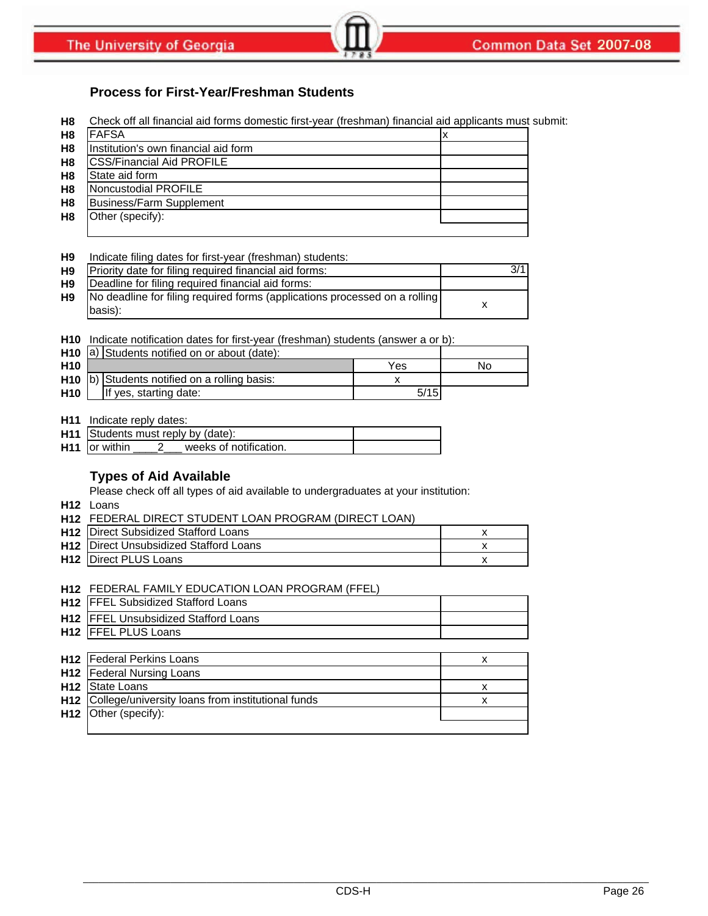# **Process for First-Year/Freshman Students**

**H8** Check off all financial aid forms domestic first-year (freshman) financial aid applicants must submit:

| H <sub>8</sub> | <b>FAFSA</b>                         |  |
|----------------|--------------------------------------|--|
| H <sub>8</sub> | Institution's own financial aid form |  |
| H <sub>8</sub> | <b>ICSS/Financial Aid PROFILE</b>    |  |
| H <sub>8</sub> | State aid form                       |  |
| H <sub>8</sub> | Noncustodial PROFILE                 |  |
| H <sub>8</sub> | <b>Business/Farm Supplement</b>      |  |
| H <sub>8</sub> | Other (specify):                     |  |
|                |                                      |  |

#### **H9** Indicate filing dates for first-year (freshman) students:

| H <sub>9</sub> | Priority date for filing required financial aid forms:                                |  |
|----------------|---------------------------------------------------------------------------------------|--|
| H <sub>9</sub> | Deadline for filing required financial aid forms:                                     |  |
| H <sub>9</sub> | No deadline for filing required forms (applications processed on a rolling<br>basis): |  |

**H10** Indicate notification dates for first-year (freshman) students (answer a or b):

|                 | <b>H10</b> $ a\rangle$ Students notified on or about (date): |      |    |
|-----------------|--------------------------------------------------------------|------|----|
| H <sub>10</sub> |                                                              | Yes  | No |
|                 | $H10$ b) Students notified on a rolling basis:               |      |    |
| H <sub>10</sub> | If yes, starting date:                                       | 5/15 |    |

#### **H11** Indicate reply dates:

| H11 Students must reply by (date):        |  |
|-------------------------------------------|--|
| $H11$ or within<br>weeks of notification. |  |

### **Types of Aid Available**

Please check off all types of aid available to undergraduates at your institution:

- **H12** Loans
- **H12** FEDERAL DIRECT STUDENT LOAN PROGRAM (DIRECT LOAN)

| <b>H12</b> Direct Subsidized Stafford Loans   |  |
|-----------------------------------------------|--|
| <b>H12</b> Direct Unsubsidized Stafford Loans |  |
| <b>H12</b> Direct PLUS Loans                  |  |

### **H12** FEDERAL FAMILY EDUCATION LOAN PROGRAM (FFEL)

| H12 FFEL Subsidized Stafford Loans                    |   |
|-------------------------------------------------------|---|
| H12 FFEL Unsubsidized Stafford Loans                  |   |
| H <sub>12</sub>   FFEL PLUS Loans                     |   |
|                                                       |   |
| <b>H12</b>   Federal Perkins Loans                    | x |
| <b>H12</b>   Federal Nursing Loans                    |   |
| <b>H12 State Loans</b>                                | x |
| H12 College/university loans from institutional funds | x |
| <b>H12</b> Other (specify):                           |   |
|                                                       |   |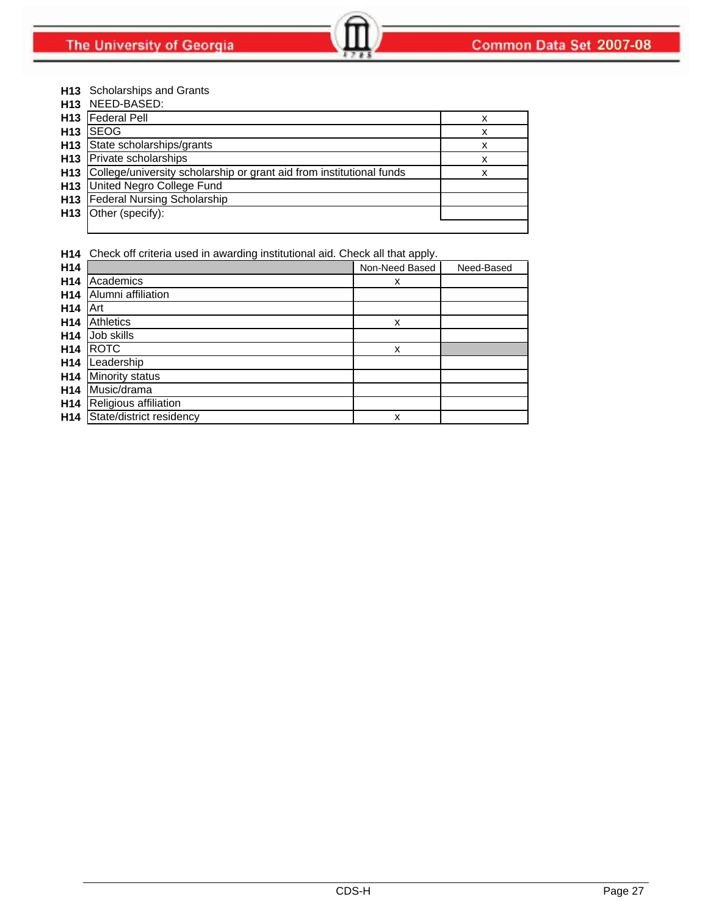#### **H13** Scholarships and Grants

| H13             | NEED-BASED:                                                          |   |
|-----------------|----------------------------------------------------------------------|---|
| H <sub>13</sub> | <b>Federal Pell</b>                                                  | x |
| H <sub>13</sub> | <b>SEOG</b>                                                          | x |
| H <sub>13</sub> | State scholarships/grants                                            | x |
| H <sub>13</sub> | Private scholarships                                                 | x |
| H <sub>13</sub> | College/university scholarship or grant aid from institutional funds | x |
| H <sub>13</sub> | United Negro College Fund                                            |   |
| H <sub>13</sub> | <b>Federal Nursing Scholarship</b>                                   |   |
|                 | H <sub>13</sub> Other (specify):                                     |   |
|                 |                                                                      |   |

**H14** Check off criteria used in awarding institutional aid. Check all that apply.

| H <sub>14</sub> |                          | Non-Need Based | Need-Based |
|-----------------|--------------------------|----------------|------------|
| H <sub>14</sub> | Academics                | x              |            |
| H <sub>14</sub> | Alumni affiliation       |                |            |
| H <sub>14</sub> | Art                      |                |            |
| H <sub>14</sub> | <b>Athletics</b>         | X              |            |
| H <sub>14</sub> | Job skills               |                |            |
| H <sub>14</sub> | <b>ROTC</b>              | X              |            |
| H <sub>14</sub> | Leadership               |                |            |
| H <sub>14</sub> | <b>Minority status</b>   |                |            |
| H <sub>14</sub> | Music/drama              |                |            |
| H <sub>14</sub> | Religious affiliation    |                |            |
| H <sub>14</sub> | State/district residency | X              |            |
|                 |                          |                |            |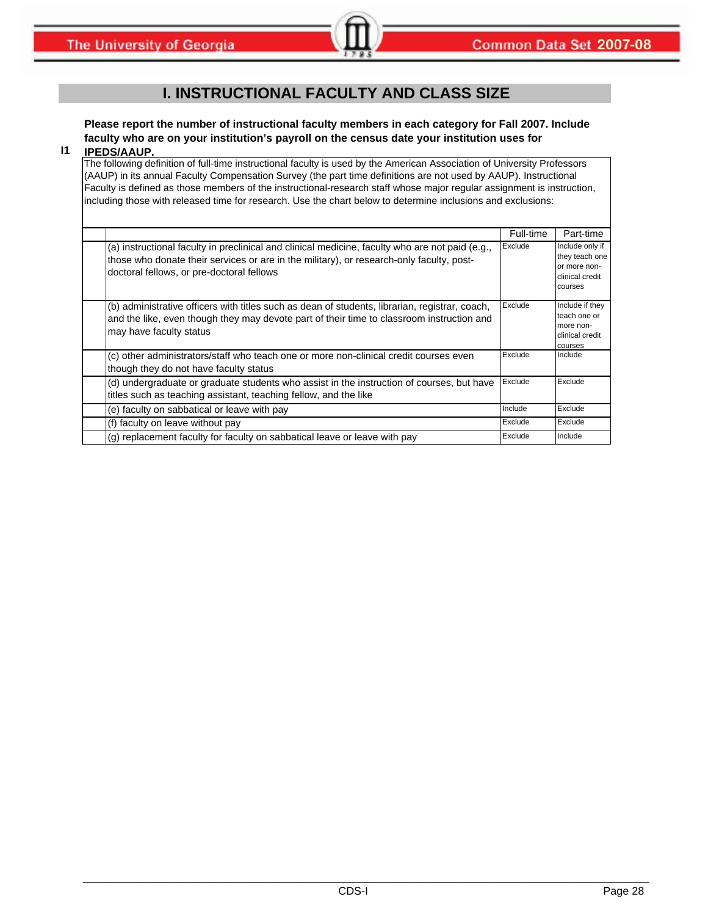# **I. INSTRUCTIONAL FACULTY AND CLASS SIZE**

# **Please report the number of instructional faculty members in each category for Fall 2007. Include faculty who are on your institution's payroll on the census date your institution uses for**

#### **I1 IPEDS/AAUP.**

The following definition of full-time instructional faculty is used by the American Association of University Professors (AAUP) in its annual Faculty Compensation Survey (the part time definitions are not used by AAUP). Instructional Faculty is defined as those members of the instructional-research staff whose major regular assignment is instruction, including those with released time for research. Use the chart below to determine inclusions and exclusions:

|                                                                                                                                                                                                                                          | Full-time | Part-time                                                                       |
|------------------------------------------------------------------------------------------------------------------------------------------------------------------------------------------------------------------------------------------|-----------|---------------------------------------------------------------------------------|
| (a) instructional faculty in preclinical and clinical medicine, faculty who are not paid (e.g.,<br>those who donate their services or are in the military), or research-only faculty, post-<br>doctoral fellows, or pre-doctoral fellows | Exclude   | Include only if<br>they teach one<br>or more non-<br>clinical credit<br>courses |
| (b) administrative officers with titles such as dean of students, librarian, registrar, coach,<br>and the like, even though they may devote part of their time to classroom instruction and<br>may have faculty status                   | Exclude   | Include if they<br>teach one or<br>more non-<br>clinical credit<br>courses      |
| (c) other administrators/staff who teach one or more non-clinical credit courses even<br>though they do not have faculty status                                                                                                          | Exclude   | Include                                                                         |
| (d) undergraduate or graduate students who assist in the instruction of courses, but have<br>titles such as teaching assistant, teaching fellow, and the like                                                                            | Exclude   | Exclude                                                                         |
| (e) faculty on sabbatical or leave with pay                                                                                                                                                                                              | Include   | Exclude                                                                         |
| (f) faculty on leave without pay                                                                                                                                                                                                         | Exclude   | Exclude                                                                         |
| (g) replacement faculty for faculty on sabbatical leave or leave with pay                                                                                                                                                                | Exclude   | Include                                                                         |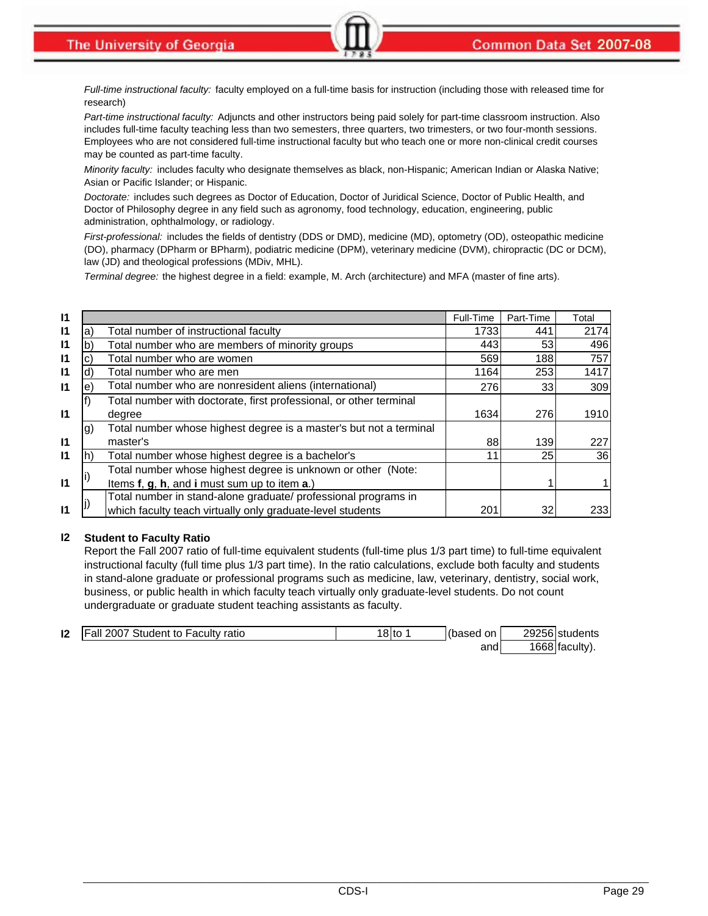*Full-time instructional faculty:* faculty employed on a full-time basis for instruction (including those with released time for research)

*Part-time instructional faculty:* Adjuncts and other instructors being paid solely for part-time classroom instruction. Also includes full-time faculty teaching less than two semesters, three quarters, two trimesters, or two four-month sessions. Employees who are not considered full-time instructional faculty but who teach one or more non-clinical credit courses may be counted as part-time faculty.

*Minority faculty:* includes faculty who designate themselves as black, non-Hispanic; American Indian or Alaska Native; Asian or Pacific Islander; or Hispanic.

*Doctorate:* includes such degrees as Doctor of Education, Doctor of Juridical Science, Doctor of Public Health, and Doctor of Philosophy degree in any field such as agronomy, food technology, education, engineering, public administration, ophthalmology, or radiology.

*First-professional:* includes the fields of dentistry (DDS or DMD), medicine (MD), optometry (OD), osteopathic medicine (DO), pharmacy (DPharm or BPharm), podiatric medicine (DPM), veterinary medicine (DVM), chiropractic (DC or DCM), law (JD) and theological professions (MDiv, MHL).

*Terminal degree:* the highest degree in a field: example, M. Arch (architecture) and MFA (master of fine arts).

| $\mathsf{I}$ |            |                                                                    | Full-Time | Part-Time       | Total |
|--------------|------------|--------------------------------------------------------------------|-----------|-----------------|-------|
| $\mathsf{I}$ | a)         | Total number of instructional faculty                              | 1733      | 441             | 2174  |
| $\mathsf{I}$ |            | Total number who are members of minority groups                    | 443       | 53 <sub>l</sub> | 496   |
| $\mathsf{I}$ | C)         | Total number who are women                                         | 569       | 188             | 757   |
| $\mathsf{I}$ | d)         | Total number who are men                                           | 1164      | 253             | 1417  |
| $\mathsf{I}$ | $\epsilon$ | Total number who are nonresident aliens (international)            | 276       | 33              | 309   |
|              |            | Total number with doctorate, first professional, or other terminal |           |                 |       |
| $\mathsf{I}$ |            | degree                                                             | 1634      | 276             | 1910  |
|              | $\vert$ g) | Total number whose highest degree is a master's but not a terminal |           |                 |       |
| $\mathsf{I}$ |            | master's                                                           | 88        | 139             | 227   |
| $\mathsf{I}$ |            | Total number whose highest degree is a bachelor's                  | 11        | <b>25</b>       | 36    |
|              |            | Total number whose highest degree is unknown or other (Note:       |           |                 |       |
| $\mathsf{I}$ |            | Items f, g, h, and i must sum up to item a.)                       |           |                 |       |
|              |            | Total number in stand-alone graduate/ professional programs in     |           |                 |       |
| $\mathsf{I}$ |            | which faculty teach virtually only graduate-level students         | 201       | 32              | 233   |

#### **I2 Student to Faculty Ratio**

Report the Fall 2007 ratio of full-time equivalent students (full-time plus 1/3 part time) to full-time equivalent instructional faculty (full time plus 1/3 part time). In the ratio calculations, exclude both faculty and students in stand-alone graduate or professional programs such as medicine, law, veterinary, dentistry, social work, business, or public health in which faculty teach virtually only graduate-level students. Do not count undergraduate or graduate student teaching assistants as faculty.

| 12 | . .<br>ul 2007 Student to Faculty.<br><b>IFall</b><br>ratio | $\sim$<br>'8Ito | (based<br>on | 29256 students |
|----|-------------------------------------------------------------|-----------------|--------------|----------------|
|    |                                                             |                 | and          | 1668 faculty,  |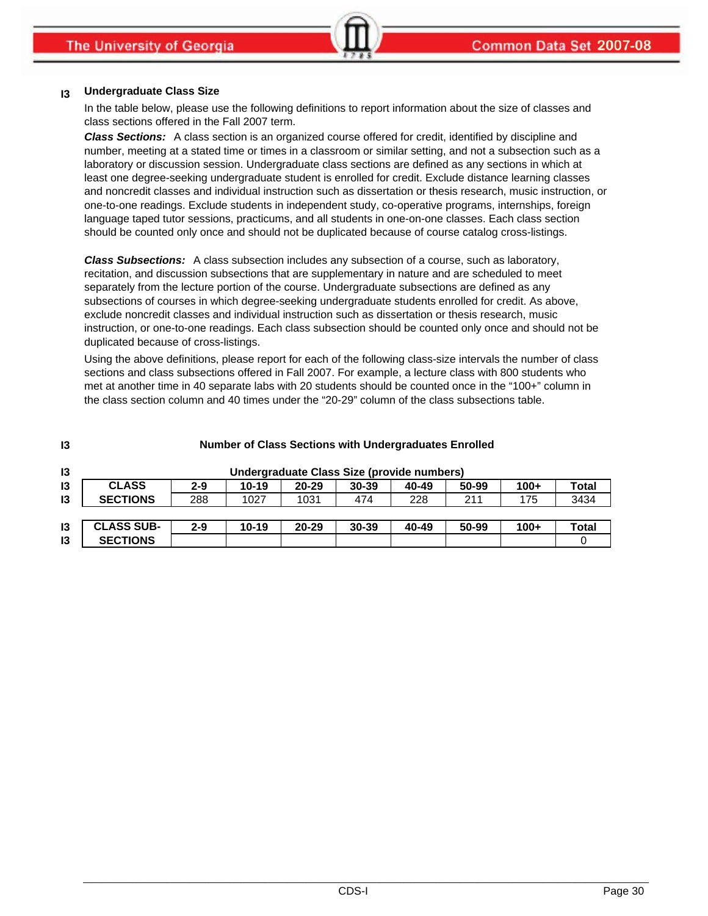#### **I3 Undergraduate Class Size**

In the table below, please use the following definitions to report information about the size of classes and class sections offered in the Fall 2007 term.

*Class Sections:* A class section is an organized course offered for credit, identified by discipline and number, meeting at a stated time or times in a classroom or similar setting, and not a subsection such as a laboratory or discussion session. Undergraduate class sections are defined as any sections in which at least one degree-seeking undergraduate student is enrolled for credit. Exclude distance learning classes and noncredit classes and individual instruction such as dissertation or thesis research, music instruction, or one-to-one readings. Exclude students in independent study, co-operative programs, internships, foreign language taped tutor sessions, practicums, and all students in one-on-one classes. Each class section should be counted only once and should not be duplicated because of course catalog cross-listings.

*Class Subsections:* A class subsection includes any subsection of a course, such as laboratory, recitation, and discussion subsections that are supplementary in nature and are scheduled to meet separately from the lecture portion of the course. Undergraduate subsections are defined as any subsections of courses in which degree-seeking undergraduate students enrolled for credit. As above, exclude noncredit classes and individual instruction such as dissertation or thesis research, music instruction, or one-to-one readings. Each class subsection should be counted only once and should not be duplicated because of cross-listings.

Using the above definitions, please report for each of the following class-size intervals the number of class sections and class subsections offered in Fall 2007. For example, a lecture class with 800 students who met at another time in 40 separate labs with 20 students should be counted once in the "100+" column in the class section column and 40 times under the "20-29" column of the class subsections table.

| 13            | <b>Number of Class Sections with Undergraduates Enrolled</b> |         |           |           |                                            |       |       |        |       |
|---------------|--------------------------------------------------------------|---------|-----------|-----------|--------------------------------------------|-------|-------|--------|-------|
| 13            |                                                              |         |           |           | Undergraduate Class Size (provide numbers) |       |       |        |       |
| 13            | <b>CLASS</b>                                                 | $2 - 9$ | $10 - 19$ | $20 - 29$ | $30 - 39$                                  | 40-49 | 50-99 | $100+$ | Total |
| $\mathsf{I}3$ | <b>SECTIONS</b>                                              | 288     | 1027      | 1031      | 474                                        | 228   | 211   | 175    | 3434  |
|               |                                                              |         |           |           |                                            |       |       |        |       |
| 13            | <b>CLASS SUB-</b>                                            | $2 - 9$ | $10 - 19$ | $20 - 29$ | $30 - 39$                                  | 40-49 | 50-99 | $100+$ | Total |
| 13            | <b>SECTIONS</b>                                              |         |           |           |                                            |       |       |        |       |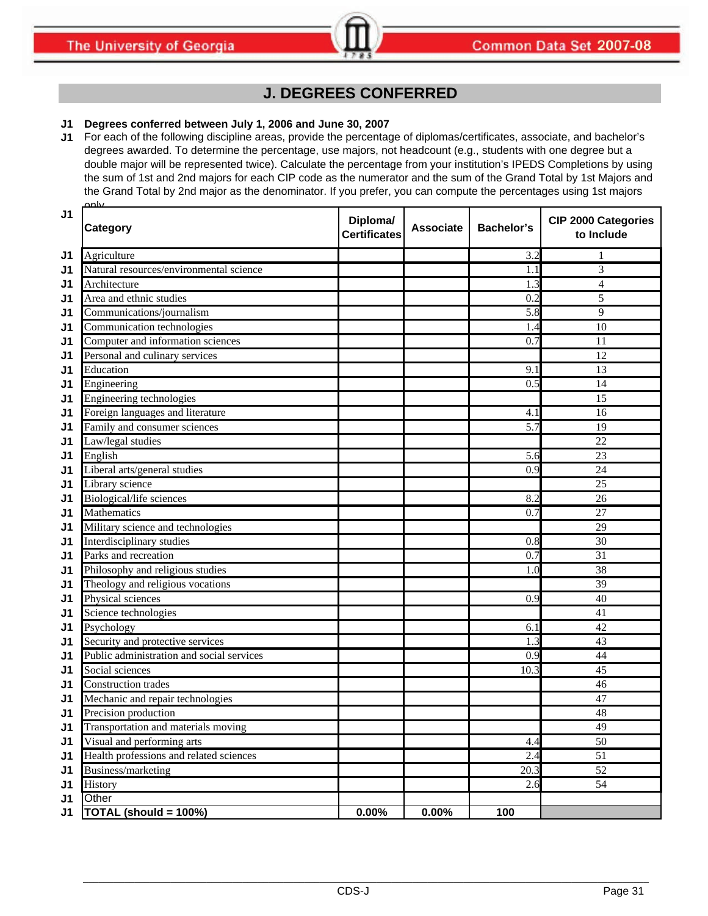# **J. DEGREES CONFERRED**

## **J1 Degrees conferred between July 1, 2006 and June 30, 2007**

**J1** For each of the following discipline areas, provide the percentage of diplomas/certificates, associate, and bachelor's degrees awarded. To determine the percentage, use majors, not headcount (e.g., students with one degree but a double major will be represented twice). Calculate the percentage from your institution's IPEDS Completions by using the sum of 1st and 2nd majors for each CIP code as the numerator and the sum of the Grand Total by 1st Majors and the Grand Total by 2nd major as the denominator. If you prefer, you can compute the percentages using 1st majors only

| J1             | Category                                  | Diploma/<br><b>Certificates</b> | <b>Associate</b> | <b>Bachelor's</b> | <b>CIP 2000 Categories</b><br>to Include |
|----------------|-------------------------------------------|---------------------------------|------------------|-------------------|------------------------------------------|
| J1             | Agriculture                               |                                 |                  | 3.2               | 1                                        |
| J1             | Natural resources/environmental science   |                                 |                  | 1.1               | 3                                        |
| J1             | Architecture                              |                                 |                  | 1.3               | 4                                        |
| J1             | Area and ethnic studies                   |                                 |                  | 0.2               | 5                                        |
| J1             | Communications/journalism                 |                                 |                  | 5.8               | 9                                        |
| J <sub>1</sub> | Communication technologies                |                                 |                  | 1.4               | 10                                       |
| J1             | Computer and information sciences         |                                 |                  | 0.7               | 11                                       |
| J1             | Personal and culinary services            |                                 |                  |                   | 12                                       |
| J1             | Education                                 |                                 |                  | 9.1               | 13                                       |
| J1             | Engineering                               |                                 |                  | 0.5               | 14                                       |
| J1             | Engineering technologies                  |                                 |                  |                   | 15                                       |
| J1             | Foreign languages and literature          |                                 |                  | 4.1               | 16                                       |
| J1             | Family and consumer sciences              |                                 |                  | 5.7               | 19                                       |
| J <sub>1</sub> | Law/legal studies                         |                                 |                  |                   | 22                                       |
| J1             | English                                   |                                 |                  | 5.6               | 23                                       |
| J1             | Liberal arts/general studies              |                                 |                  | 0.9               | 24                                       |
| J1             | Library science                           |                                 |                  |                   | 25                                       |
| J1             | Biological/life sciences                  |                                 |                  | 8.2               | 26                                       |
| J1             | Mathematics                               |                                 |                  | 0.7               | 27                                       |
| J1             | Military science and technologies         |                                 |                  |                   | 29                                       |
| J1             | Interdisciplinary studies                 |                                 |                  | 0.8               | 30                                       |
| J1             | Parks and recreation                      |                                 |                  | 0.7               | 31                                       |
| J1             | Philosophy and religious studies          |                                 |                  | 1.0               | 38                                       |
| J1             | Theology and religious vocations          |                                 |                  |                   | 39                                       |
| J1             | Physical sciences                         |                                 |                  | 0.9               | 40                                       |
| J <sub>1</sub> | Science technologies                      |                                 |                  |                   | 41                                       |
| J1             | Psychology                                |                                 |                  | 6.1               | 42                                       |
| J1             | Security and protective services          |                                 |                  | 1.3               | 43                                       |
| J1             | Public administration and social services |                                 |                  | 0.9               | 44                                       |
| J1             | Social sciences                           |                                 |                  | 10.3              | 45                                       |
| J <sub>1</sub> | Construction trades                       |                                 |                  |                   | 46                                       |
| J <sub>1</sub> | Mechanic and repair technologies          |                                 |                  |                   | 47                                       |
| J1             | Precision production                      |                                 |                  |                   | 48                                       |
| J1             | Transportation and materials moving       |                                 |                  |                   | 49                                       |
| J <sub>1</sub> | Visual and performing arts                |                                 |                  | 4.4               | $\overline{50}$                          |
| J1             | Health professions and related sciences   |                                 |                  | 2.4               | 51                                       |
| J <sub>1</sub> | Business/marketing                        |                                 |                  | 20.3              | $\overline{52}$                          |
| J <sub>1</sub> | History                                   |                                 |                  | 2.6               | 54                                       |
| J <sub>1</sub> | Other                                     |                                 |                  |                   |                                          |
| J <sub>1</sub> | TOTAL (should = 100%)                     | 0.00%                           | 0.00%            | 100               |                                          |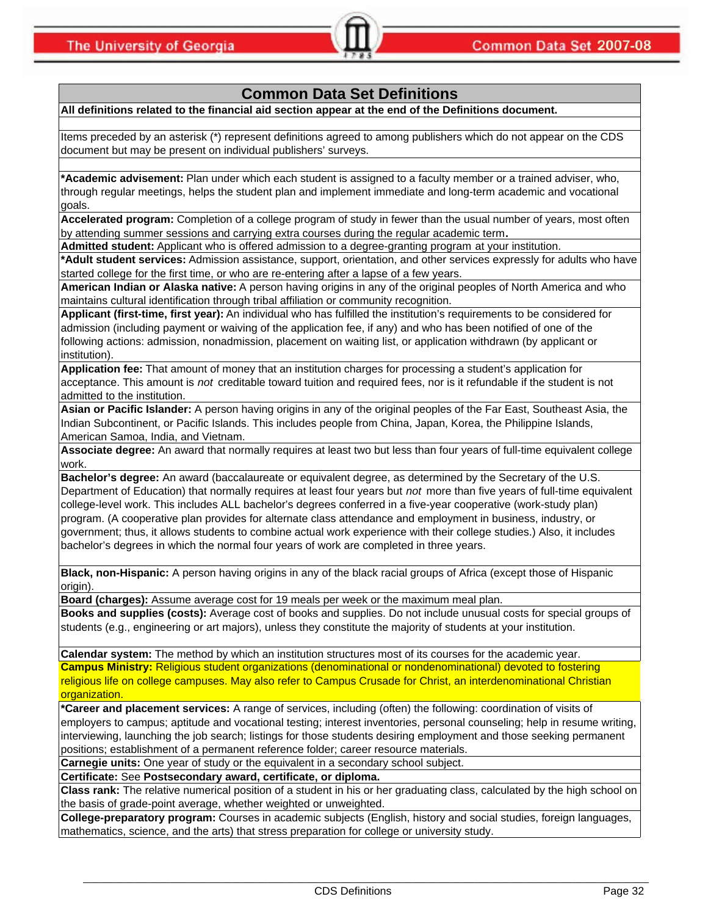# **Common Data Set Definitions**

**All definitions related to the financial aid section appear at the end of the Definitions document.**

Items preceded by an asterisk (\*) represent definitions agreed to among publishers which do not appear on the CDS document but may be present on individual publishers' surveys.

**\*Academic advisement:** Plan under which each student is assigned to a faculty member or a trained adviser, who, through regular meetings, helps the student plan and implement immediate and long-term academic and vocational goals.

**Accelerated program:** Completion of a college program of study in fewer than the usual number of years, most often by attending summer sessions and carrying extra courses during the regular academic term**.**

**Admitted student:** Applicant who is offered admission to a degree-granting program at your institution.

**\*Adult student services:** Admission assistance, support, orientation, and other services expressly for adults who have started college for the first time, or who are re-entering after a lapse of a few years.

**American Indian or Alaska native:** A person having origins in any of the original peoples of North America and who maintains cultural identification through tribal affiliation or community recognition.

**Applicant (first-time, first year):** An individual who has fulfilled the institution's requirements to be considered for admission (including payment or waiving of the application fee, if any) and who has been notified of one of the following actions: admission, nonadmission, placement on waiting list, or application withdrawn (by applicant or institution).

**Application fee:** That amount of money that an institution charges for processing a student's application for acceptance. This amount is *not* creditable toward tuition and required fees, nor is it refundable if the student is not admitted to the institution.

**Asian or Pacific Islander:** A person having origins in any of the original peoples of the Far East, Southeast Asia, the Indian Subcontinent, or Pacific Islands. This includes people from China, Japan, Korea, the Philippine Islands, American Samoa, India, and Vietnam.

**Associate degree:** An award that normally requires at least two but less than four years of full-time equivalent college work.

**Bachelor's degree:** An award (baccalaureate or equivalent degree, as determined by the Secretary of the U.S. Department of Education) that normally requires at least four years but *not* more than five years of full-time equivalent college-level work. This includes ALL bachelor's degrees conferred in a five-year cooperative (work-study plan) program. (A cooperative plan provides for alternate class attendance and employment in business, industry, or government; thus, it allows students to combine actual work experience with their college studies.) Also, it includes bachelor's degrees in which the normal four years of work are completed in three years.

**Black, non-Hispanic:** A person having origins in any of the black racial groups of Africa (except those of Hispanic origin).

**Board (charges):** Assume average cost for 19 meals per week or the maximum meal plan.

**Books and supplies (costs):** Average cost of books and supplies. Do not include unusual costs for special groups of students (e.g., engineering or art majors), unless they constitute the majority of students at your institution.

**Calendar system:** The method by which an institution structures most of its courses for the academic year. **Campus Ministry:** Religious student organizations (denominational or nondenominational) devoted to fostering religious life on college campuses. May also refer to Campus Crusade for Christ, an interdenominational Christian organization.

**\*Career and placement services:** A range of services, including (often) the following: coordination of visits of employers to campus; aptitude and vocational testing; interest inventories, personal counseling; help in resume writing, interviewing, launching the job search; listings for those students desiring employment and those seeking permanent positions; establishment of a permanent reference folder; career resource materials.

**Carnegie units:** One year of study or the equivalent in a secondary school subject.

**Certificate:** See **Postsecondary award, certificate, or diploma.**

**Class rank:** The relative numerical position of a student in his or her graduating class, calculated by the high school on the basis of grade-point average, whether weighted or unweighted.

**College-preparatory program:** Courses in academic subjects (English, history and social studies, foreign languages, mathematics, science, and the arts) that stress preparation for college or university study.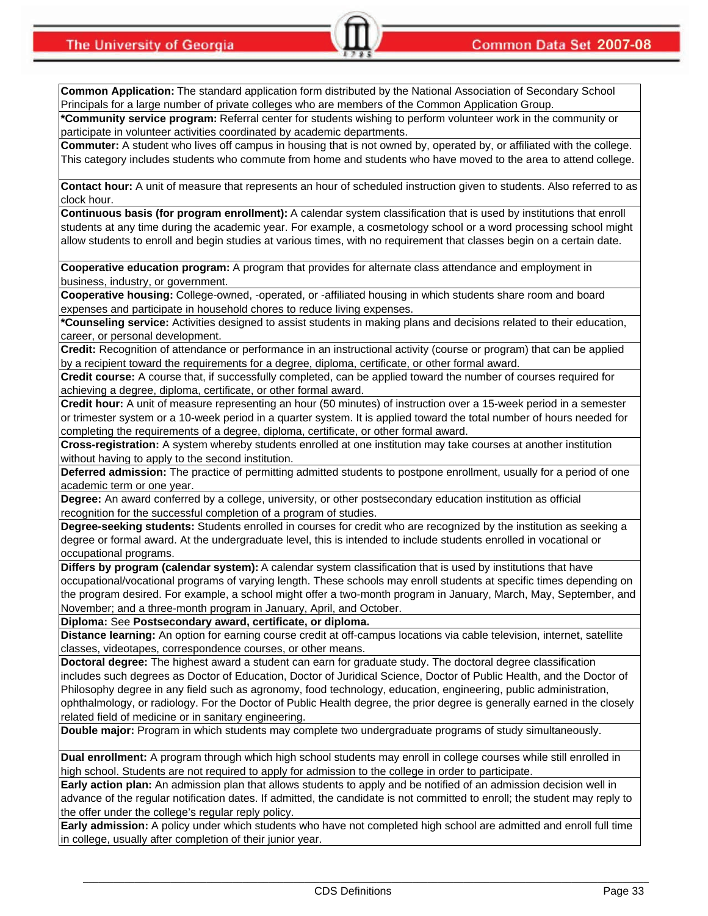**The University of Georgia** 

**Common Application:** The standard application form distributed by the National Association of Secondary School Principals for a large number of private colleges who are members of the Common Application Group.

**\*Community service program:** Referral center for students wishing to perform volunteer work in the community or participate in volunteer activities coordinated by academic departments.

**Commuter:** A student who lives off campus in housing that is not owned by, operated by, or affiliated with the college. This category includes students who commute from home and students who have moved to the area to attend college.

**Contact hour:** A unit of measure that represents an hour of scheduled instruction given to students. Also referred to as clock hour.

**Continuous basis (for program enrollment):** A calendar system classification that is used by institutions that enroll students at any time during the academic year. For example, a cosmetology school or a word processing school might allow students to enroll and begin studies at various times, with no requirement that classes begin on a certain date.

**Cooperative education program:** A program that provides for alternate class attendance and employment in business, industry, or government.

**Cooperative housing:** College-owned, -operated, or -affiliated housing in which students share room and board expenses and participate in household chores to reduce living expenses.

**\*Counseling service:** Activities designed to assist students in making plans and decisions related to their education, career, or personal development.

**Credit:** Recognition of attendance or performance in an instructional activity (course or program) that can be applied by a recipient toward the requirements for a degree, diploma, certificate, or other formal award.

**Credit course:** A course that, if successfully completed, can be applied toward the number of courses required for achieving a degree, diploma, certificate, or other formal award.

**Credit hour:** A unit of measure representing an hour (50 minutes) of instruction over a 15-week period in a semester or trimester system or a 10-week period in a quarter system. It is applied toward the total number of hours needed for completing the requirements of a degree, diploma, certificate, or other formal award.

**Cross-registration:** A system whereby students enrolled at one institution may take courses at another institution without having to apply to the second institution.

**Deferred admission:** The practice of permitting admitted students to postpone enrollment, usually for a period of one academic term or one year.

**Degree:** An award conferred by a college, university, or other postsecondary education institution as official recognition for the successful completion of a program of studies.

**Degree-seeking students:** Students enrolled in courses for credit who are recognized by the institution as seeking a degree or formal award. At the undergraduate level, this is intended to include students enrolled in vocational or occupational programs.

**Differs by program (calendar system):** A calendar system classification that is used by institutions that have occupational/vocational programs of varying length. These schools may enroll students at specific times depending on the program desired. For example, a school might offer a two-month program in January, March, May, September, and November; and a three-month program in January, April, and October.

**Diploma:** See **Postsecondary award, certificate, or diploma.**

**Distance learning:** An option for earning course credit at off-campus locations via cable television, internet, satellite classes, videotapes, correspondence courses, or other means.

**Doctoral degree:** The highest award a student can earn for graduate study. The doctoral degree classification includes such degrees as Doctor of Education, Doctor of Juridical Science, Doctor of Public Health, and the Doctor of Philosophy degree in any field such as agronomy, food technology, education, engineering, public administration, ophthalmology, or radiology. For the Doctor of Public Health degree, the prior degree is generally earned in the closely related field of medicine or in sanitary engineering.

**Double major:** Program in which students may complete two undergraduate programs of study simultaneously.

**Dual enrollment:** A program through which high school students may enroll in college courses while still enrolled in high school. Students are not required to apply for admission to the college in order to participate.

**Early action plan:** An admission plan that allows students to apply and be notified of an admission decision well in advance of the regular notification dates. If admitted, the candidate is not committed to enroll; the student may reply to the offer under the college's regular reply policy.

**Early admission:** A policy under which students who have not completed high school are admitted and enroll full time in college, usually after completion of their junior year.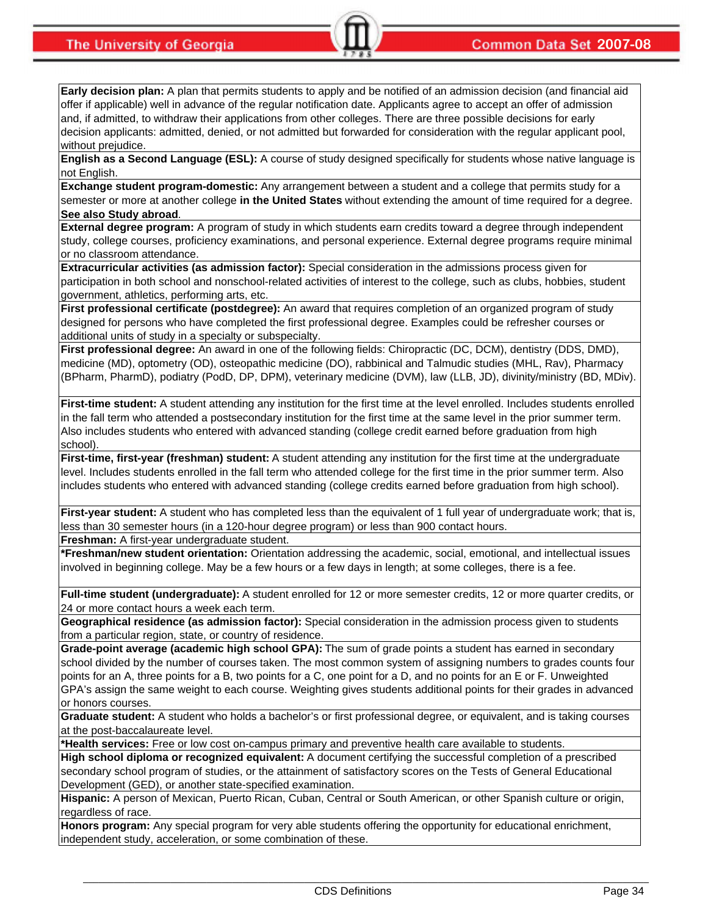**Early decision plan:** A plan that permits students to apply and be notified of an admission decision (and financial aid offer if applicable) well in advance of the regular notification date. Applicants agree to accept an offer of admission and, if admitted, to withdraw their applications from other colleges. There are three possible decisions for early decision applicants: admitted, denied, or not admitted but forwarded for consideration with the regular applicant pool, without prejudice.

**English as a Second Language (ESL):** A course of study designed specifically for students whose native language is not English.

**Exchange student program-domestic:** Any arrangement between a student and a college that permits study for a semester or more at another college **in the United States** without extending the amount of time required for a degree. **See also Study abroad**.

**External degree program:** A program of study in which students earn credits toward a degree through independent study, college courses, proficiency examinations, and personal experience. External degree programs require minimal or no classroom attendance.

**Extracurricular activities (as admission factor):** Special consideration in the admissions process given for participation in both school and nonschool-related activities of interest to the college, such as clubs, hobbies, student government, athletics, performing arts, etc.

First professional certificate (postdegree): An award that requires completion of an organized program of study designed for persons who have completed the first professional degree. Examples could be refresher courses or additional units of study in a specialty or subspecialty.

**First professional degree:** An award in one of the following fields: Chiropractic (DC, DCM), dentistry (DDS, DMD), medicine (MD), optometry (OD), osteopathic medicine (DO), rabbinical and Talmudic studies (MHL, Rav), Pharmacy (BPharm, PharmD), podiatry (PodD, DP, DPM), veterinary medicine (DVM), law (LLB, JD), divinity/ministry (BD, MDiv).

**First-time student:** A student attending any institution for the first time at the level enrolled. Includes students enrolled in the fall term who attended a postsecondary institution for the first time at the same level in the prior summer term. Also includes students who entered with advanced standing (college credit earned before graduation from high school).

**First-time, first-year (freshman) student:** A student attending any institution for the first time at the undergraduate level. Includes students enrolled in the fall term who attended college for the first time in the prior summer term. Also includes students who entered with advanced standing (college credits earned before graduation from high school).

**First-year student:** A student who has completed less than the equivalent of 1 full year of undergraduate work; that is, less than 30 semester hours (in a 120-hour degree program) or less than 900 contact hours.

**Freshman:** A first-year undergraduate student.

**\*Freshman/new student orientation:** Orientation addressing the academic, social, emotional, and intellectual issues involved in beginning college. May be a few hours or a few days in length; at some colleges, there is a fee.

**Full-time student (undergraduate):** A student enrolled for 12 or more semester credits, 12 or more quarter credits, or 24 or more contact hours a week each term.

**Geographical residence (as admission factor):** Special consideration in the admission process given to students from a particular region, state, or country of residence.

**Grade-point average (academic high school GPA):** The sum of grade points a student has earned in secondary school divided by the number of courses taken. The most common system of assigning numbers to grades counts four points for an A, three points for a B, two points for a C, one point for a D, and no points for an E or F. Unweighted GPA's assign the same weight to each course. Weighting gives students additional points for their grades in advanced or honors courses.

**Graduate student:** A student who holds a bachelor's or first professional degree, or equivalent, and is taking courses at the post-baccalaureate level.

**\*Health services:** Free or low cost on-campus primary and preventive health care available to students.

**High school diploma or recognized equivalent:** A document certifying the successful completion of a prescribed secondary school program of studies, or the attainment of satisfactory scores on the Tests of General Educational Development (GED), or another state-specified examination.

**Hispanic:** A person of Mexican, Puerto Rican, Cuban, Central or South American, or other Spanish culture or origin, regardless of race.

**Honors program:** Any special program for very able students offering the opportunity for educational enrichment, independent study, acceleration, or some combination of these.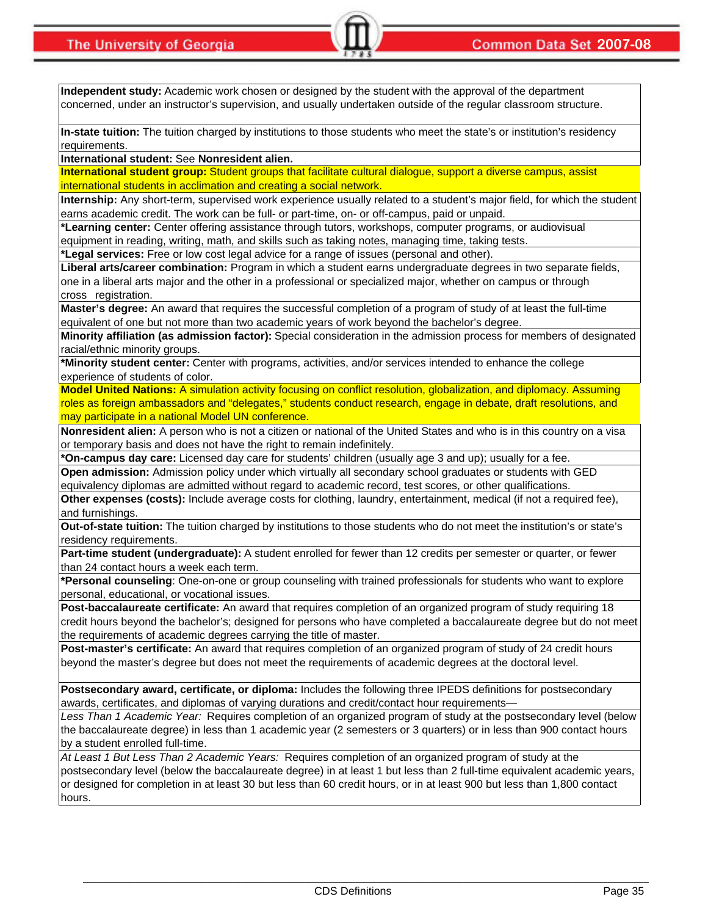**Independent study:** Academic work chosen or designed by the student with the approval of the department concerned, under an instructor's supervision, and usually undertaken outside of the regular classroom structure.

**In-state tuition:** The tuition charged by institutions to those students who meet the state's or institution's residency requirements.

**International student:** See **Nonresident alien.**

**International student group:** Student groups that facilitate cultural dialogue, support a diverse campus, assist international students in acclimation and creating a social network.

**Internship:** Any short-term, supervised work experience usually related to a student's major field, for which the student earns academic credit. The work can be full- or part-time, on- or off-campus, paid or unpaid.

**\*Learning center:** Center offering assistance through tutors, workshops, computer programs, or audiovisual equipment in reading, writing, math, and skills such as taking notes, managing time, taking tests.

**\*Legal services:** Free or low cost legal advice for a range of issues (personal and other).

**Liberal arts/career combination:** Program in which a student earns undergraduate degrees in two separate fields, one in a liberal arts major and the other in a professional or specialized major, whether on campus or through cross registration.

**Master's degree:** An award that requires the successful completion of a program of study of at least the full-time equivalent of one but not more than two academic years of work beyond the bachelor's degree.

**Minority affiliation (as admission factor):** Special consideration in the admission process for members of designated racial/ethnic minority groups.

**\*Minority student center:** Center with programs, activities, and/or services intended to enhance the college experience of students of color.

**Model United Nations:** A simulation activity focusing on conflict resolution, globalization, and diplomacy. Assuming roles as foreign ambassadors and "delegates," students conduct research, engage in debate, draft resolutions, and may participate in a national Model UN conference.

**Nonresident alien:** A person who is not a citizen or national of the United States and who is in this country on a visa or temporary basis and does not have the right to remain indefinitely.

**\*On-campus day care:** Licensed day care for students' children (usually age 3 and up); usually for a fee. **Open admission:** Admission policy under which virtually all secondary school graduates or students with GED

equivalency diplomas are admitted without regard to academic record, test scores, or other qualifications. **Other expenses (costs):** Include average costs for clothing, laundry, entertainment, medical (if not a required fee),

and furnishings.

**Out-of-state tuition:** The tuition charged by institutions to those students who do not meet the institution's or state's residency requirements.

**Part-time student (undergraduate):** A student enrolled for fewer than 12 credits per semester or quarter, or fewer than 24 contact hours a week each term.

**\*Personal counseling**: One-on-one or group counseling with trained professionals for students who want to explore personal, educational, or vocational issues.

**Post-baccalaureate certificate:** An award that requires completion of an organized program of study requiring 18 credit hours beyond the bachelor's; designed for persons who have completed a baccalaureate degree but do not meet the requirements of academic degrees carrying the title of master.

**Post-master's certificate:** An award that requires completion of an organized program of study of 24 credit hours beyond the master's degree but does not meet the requirements of academic degrees at the doctoral level.

**Postsecondary award, certificate, or diploma:** Includes the following three IPEDS definitions for postsecondary awards, certificates, and diplomas of varying durations and credit/contact hour requirements—

*Less Than 1 Academic Year:* Requires completion of an organized program of study at the postsecondary level (below the baccalaureate degree) in less than 1 academic year (2 semesters or 3 quarters) or in less than 900 contact hours by a student enrolled full-time.

*At Least 1 But Less Than 2 Academic Years:* Requires completion of an organized program of study at the postsecondary level (below the baccalaureate degree) in at least 1 but less than 2 full-time equivalent academic years, or designed for completion in at least 30 but less than 60 credit hours, or in at least 900 but less than 1,800 contact hours.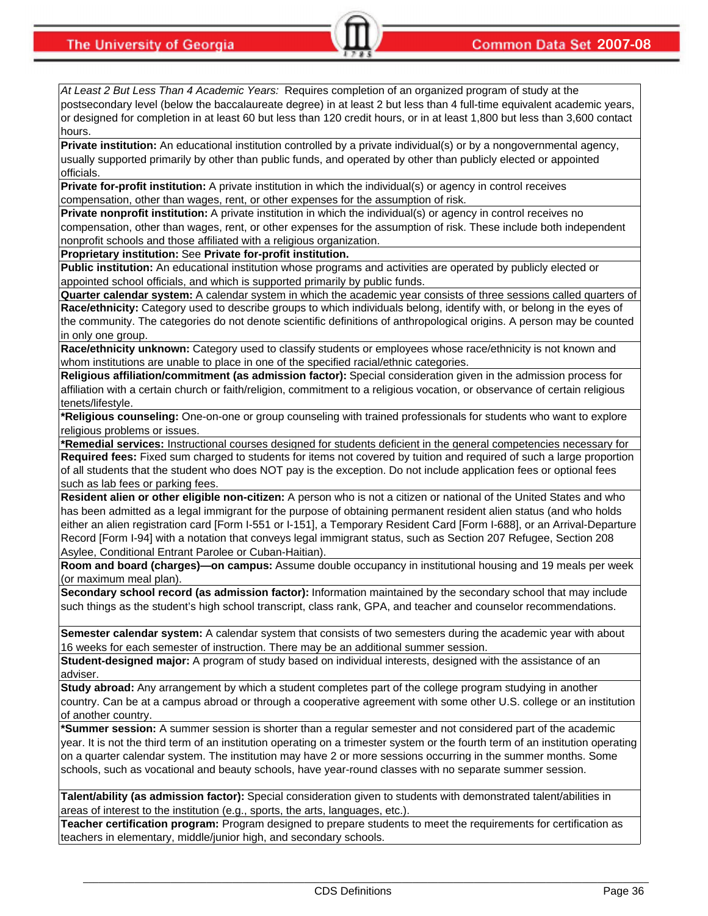*At Least 2 But Less Than 4 Academic Years:* Requires completion of an organized program of study at the postsecondary level (below the baccalaureate degree) in at least 2 but less than 4 full-time equivalent academic years, or designed for completion in at least 60 but less than 120 credit hours, or in at least 1,800 but less than 3,600 contact hours.

**Private institution:** An educational institution controlled by a private individual(s) or by a nongovernmental agency, usually supported primarily by other than public funds, and operated by other than publicly elected or appointed officials.

**Private for-profit institution:** A private institution in which the individual(s) or agency in control receives compensation, other than wages, rent, or other expenses for the assumption of risk.

**Private nonprofit institution:** A private institution in which the individual(s) or agency in control receives no compensation, other than wages, rent, or other expenses for the assumption of risk. These include both independent nonprofit schools and those affiliated with a religious organization.

**Proprietary institution:** See **Private for-profit institution.**

**Public institution:** An educational institution whose programs and activities are operated by publicly elected or appointed school officials, and which is supported primarily by public funds.

**Quarter calendar system:** A calendar system in which the academic year consists of three sessions called quarters of **Race/ethnicity:** Category used to describe groups to which individuals belong, identify with, or belong in the eyes of the community. The categories do not denote scientific definitions of anthropological origins. A person may be counted in only one group.

**Race/ethnicity unknown:** Category used to classify students or employees whose race/ethnicity is not known and whom institutions are unable to place in one of the specified racial/ethnic categories.

**Religious affiliation/commitment (as admission factor):** Special consideration given in the admission process for affiliation with a certain church or faith/religion, commitment to a religious vocation, or observance of certain religious tenets/lifestyle.

**\*Religious counseling:** One-on-one or group counseling with trained professionals for students who want to explore religious problems or issues.

**\*Remedial services:** Instructional courses designed for students deficient in the general competencies necessary for **Required fees:** Fixed sum charged to students for items not covered by tuition and required of such a large proportion

of all students that the student who does NOT pay is the exception. Do not include application fees or optional fees such as lab fees or parking fees.

**Resident alien or other eligible non-citizen:** A person who is not a citizen or national of the United States and who has been admitted as a legal immigrant for the purpose of obtaining permanent resident alien status (and who holds either an alien registration card [Form I-551 or I-151], a Temporary Resident Card [Form I-688], or an Arrival-Departure Record [Form I-94] with a notation that conveys legal immigrant status, such as Section 207 Refugee, Section 208 Asylee, Conditional Entrant Parolee or Cuban-Haitian).

**Room and board (charges)—on campus:** Assume double occupancy in institutional housing and 19 meals per week (or maximum meal plan).

**Secondary school record (as admission factor):** Information maintained by the secondary school that may include such things as the student's high school transcript, class rank, GPA, and teacher and counselor recommendations.

**Semester calendar system:** A calendar system that consists of two semesters during the academic year with about 16 weeks for each semester of instruction. There may be an additional summer session.

**Student-designed major:** A program of study based on individual interests, designed with the assistance of an adviser.

**Study abroad:** Any arrangement by which a student completes part of the college program studying in another country. Can be at a campus abroad or through a cooperative agreement with some other U.S. college or an institution of another country.

**\*Summer session:** A summer session is shorter than a regular semester and not considered part of the academic year. It is not the third term of an institution operating on a trimester system or the fourth term of an institution operating on a quarter calendar system. The institution may have 2 or more sessions occurring in the summer months. Some schools, such as vocational and beauty schools, have year-round classes with no separate summer session.

**Talent/ability (as admission factor):** Special consideration given to students with demonstrated talent/abilities in areas of interest to the institution (e.g., sports, the arts, languages, etc.).

**Teacher certification program:** Program designed to prepare students to meet the requirements for certification as teachers in elementary, middle/junior high, and secondary schools.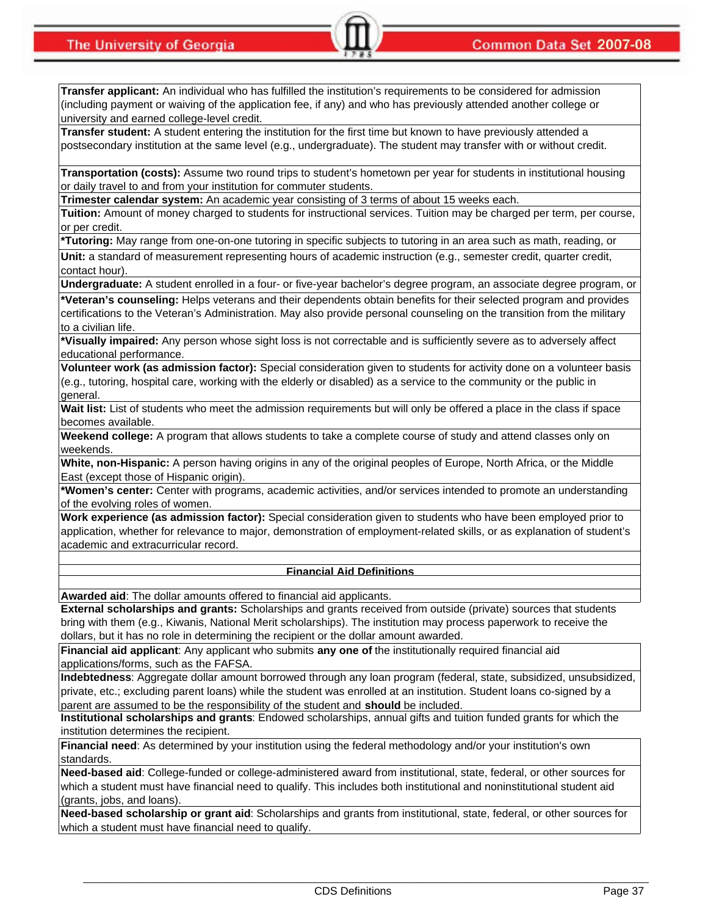**Transfer applicant:** An individual who has fulfilled the institution's requirements to be considered for admission (including payment or waiving of the application fee, if any) and who has previously attended another college or university and earned college-level credit.

**Transfer student:** A student entering the institution for the first time but known to have previously attended a postsecondary institution at the same level (e.g., undergraduate). The student may transfer with or without credit.

**Transportation (costs):** Assume two round trips to student's hometown per year for students in institutional housing or daily travel to and from your institution for commuter students.

**Trimester calendar system:** An academic year consisting of 3 terms of about 15 weeks each.

**Tuition:** Amount of money charged to students for instructional services. Tuition may be charged per term, per course, or per credit.

**\*Tutoring:** May range from one-on-one tutoring in specific subjects to tutoring in an area such as math, reading, or

**Unit:** a standard of measurement representing hours of academic instruction (e.g., semester credit, quarter credit, contact hour).

**Undergraduate:** A student enrolled in a four- or five-year bachelor's degree program, an associate degree program, or

**\*Veteran's counseling:** Helps veterans and their dependents obtain benefits for their selected program and provides certifications to the Veteran's Administration. May also provide personal counseling on the transition from the military to a civilian life.

**\*Visually impaired:** Any person whose sight loss is not correctable and is sufficiently severe as to adversely affect educational performance.

**Volunteer work (as admission factor):** Special consideration given to students for activity done on a volunteer basis (e.g., tutoring, hospital care, working with the elderly or disabled) as a service to the community or the public in general.

**Wait list:** List of students who meet the admission requirements but will only be offered a place in the class if space becomes available.

**Weekend college:** A program that allows students to take a complete course of study and attend classes only on weekends.

**White, non-Hispanic:** A person having origins in any of the original peoples of Europe, North Africa, or the Middle East (except those of Hispanic origin).

**\*Women's center:** Center with programs, academic activities, and/or services intended to promote an understanding of the evolving roles of women.

**Work experience (as admission factor):** Special consideration given to students who have been employed prior to application, whether for relevance to major, demonstration of employment-related skills, or as explanation of student's academic and extracurricular record.

#### **Financial Aid Definitions**

**Awarded aid**: The dollar amounts offered to financial aid applicants.

**External scholarships and grants:** Scholarships and grants received from outside (private) sources that students bring with them (e.g., Kiwanis, National Merit scholarships). The institution may process paperwork to receive the dollars, but it has no role in determining the recipient or the dollar amount awarded.

**Financial aid applicant**: Any applicant who submits **any one of** the institutionally required financial aid applications/forms, such as the FAFSA.

**Indebtedness**: Aggregate dollar amount borrowed through any loan program (federal, state, subsidized, unsubsidized, private, etc.; excluding parent loans) while the student was enrolled at an institution. Student loans co-signed by a parent are assumed to be the responsibility of the student and **should** be included.

**Institutional scholarships and grants**: Endowed scholarships, annual gifts and tuition funded grants for which the institution determines the recipient.

**Financial need**: As determined by your institution using the federal methodology and/or your institution's own standards.

**Need-based aid**: College-funded or college-administered award from institutional, state, federal, or other sources for which a student must have financial need to qualify. This includes both institutional and noninstitutional student aid (grants, jobs, and loans).

**Need-based scholarship or grant aid**: Scholarships and grants from institutional, state, federal, or other sources for which a student must have financial need to qualify.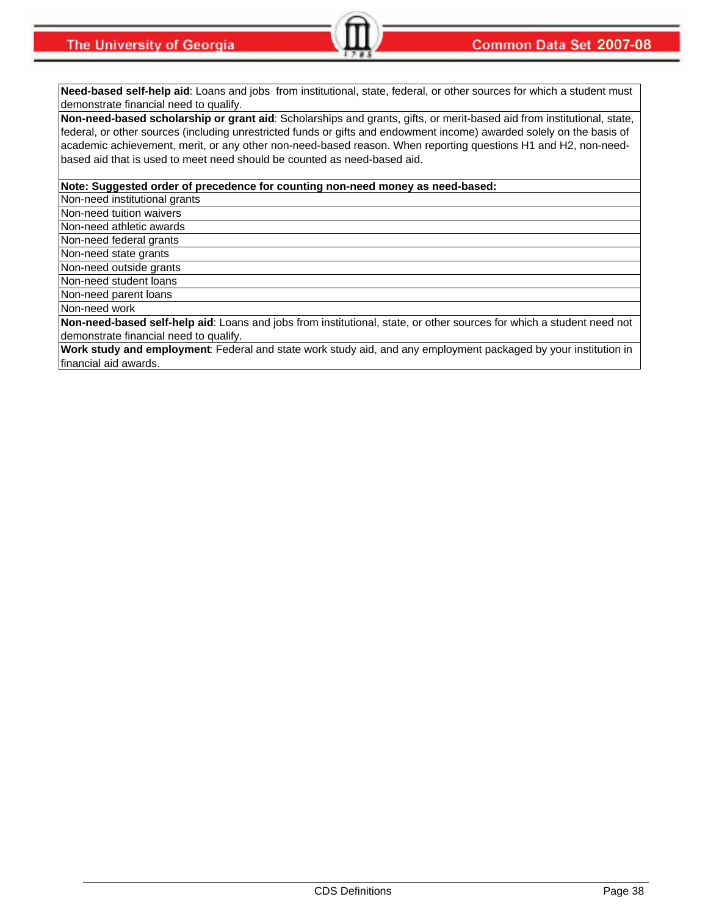**Need-based self-help aid**: Loans and jobs from institutional, state, federal, or other sources for which a student must demonstrate financial need to qualify.

**Non-need-based scholarship or grant aid**: Scholarships and grants, gifts, or merit-based aid from institutional, state, federal, or other sources (including unrestricted funds or gifts and endowment income) awarded solely on the basis of academic achievement, merit, or any other non-need-based reason. When reporting questions H1 and H2, non-needbased aid that is used to meet need should be counted as need-based aid.

**Note: Suggested order of precedence for counting non-need money as need-based:**

Non-need institutional grants

Non-need tuition waivers

Non-need athletic awards

Non-need federal grants

Non-need state grants

Non-need outside grants

Non-need student loans

Non-need parent loans

Non-need work

**Non-need-based self-help aid**: Loans and jobs from institutional, state, or other sources for which a student need not demonstrate financial need to qualify.

**Work study and employment**: Federal and state work study aid, and any employment packaged by your institution in financial aid awards.